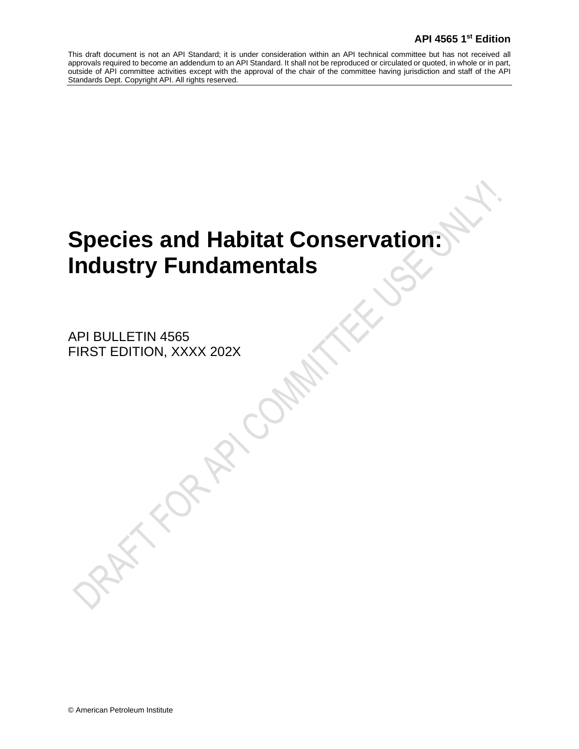# **Species and Habitat Conservation: Industry Fundamentals**

API BULLETIN 4565 FIRST EDITION, XXXX 202X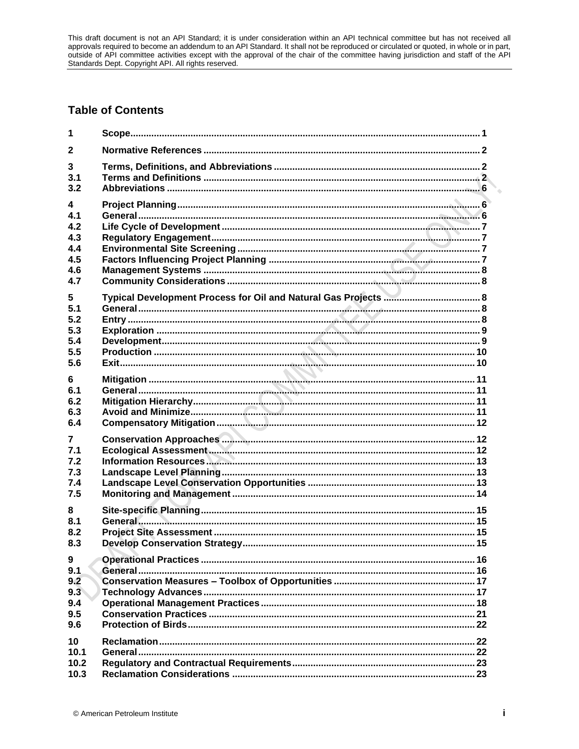# **Table of Contents**

| 1            |  |
|--------------|--|
| $\mathbf{2}$ |  |
| 3            |  |
| 3.1          |  |
| 3.2          |  |
| 4            |  |
| 4.1          |  |
| 4.2          |  |
| 4.3          |  |
| 4.4          |  |
| 4.5          |  |
| 4.6          |  |
| 4.7          |  |
| 5            |  |
| 5.1          |  |
| 5.2          |  |
| 5.3          |  |
| 5.4          |  |
| 5.5          |  |
| 5.6          |  |
| 6            |  |
| 6.1          |  |
| 6.2          |  |
| 6.3          |  |
| 6.4          |  |
| 7            |  |
| 7.1          |  |
| 7.2          |  |
| 7.3          |  |
| 7.4          |  |
| 7.5          |  |
| 8            |  |
| 8.1          |  |
| 8.2          |  |
| 8.3          |  |
| 9            |  |
| 9.1          |  |
| 9.2          |  |
| 9.3          |  |
| 9.4          |  |
| 9.5          |  |
| 9.6          |  |
| 10           |  |
| 10.1         |  |
| 10.2         |  |
| 10.3         |  |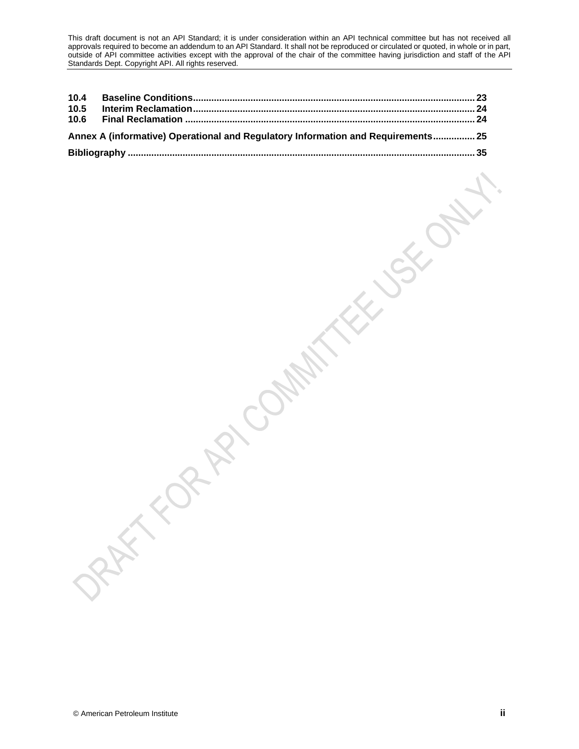| 10.5 |                                                                                  |  |
|------|----------------------------------------------------------------------------------|--|
|      |                                                                                  |  |
|      | Annex A (informative) Operational and Regulatory Information and Requirements 25 |  |
|      |                                                                                  |  |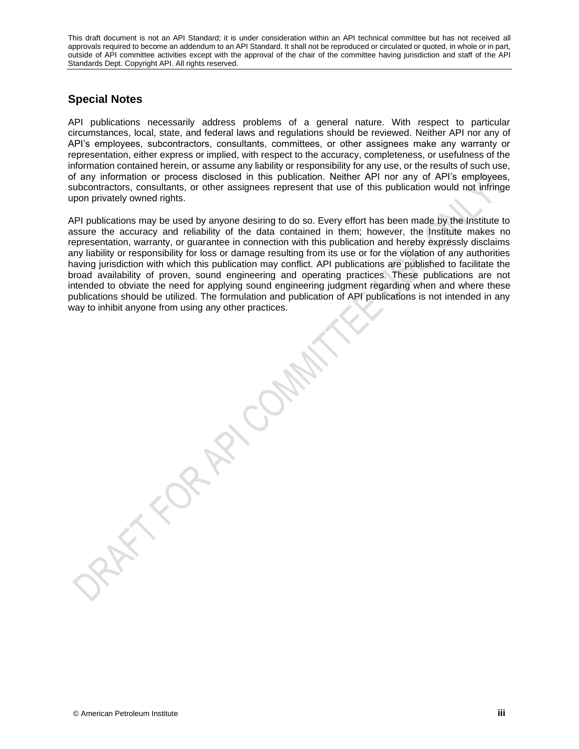# **Special Notes**

API publications necessarily address problems of a general nature. With respect to particular circumstances, local, state, and federal laws and regulations should be reviewed. Neither API nor any of API's employees, subcontractors, consultants, committees, or other assignees make any warranty or representation, either express or implied, with respect to the accuracy, completeness, or usefulness of the information contained herein, or assume any liability or responsibility for any use, or the results of such use, of any information or process disclosed in this publication. Neither API nor any of API's employees, subcontractors, consultants, or other assignees represent that use of this publication would not infringe upon privately owned rights.

API publications may be used by anyone desiring to do so. Every effort has been made by the Institute to assure the accuracy and reliability of the data contained in them; however, the Institute makes no representation, warranty, or guarantee in connection with this publication and hereby expressly disclaims any liability or responsibility for loss or damage resulting from its use or for the violation of any authorities having jurisdiction with which this publication may conflict. API publications are published to facilitate the broad availability of proven, sound engineering and operating practices. These publications are not intended to obviate the need for applying sound engineering judgment regarding when and where these publications should be utilized. The formulation and publication of API publications is not intended in any way to inhibit anyone from using any other practices.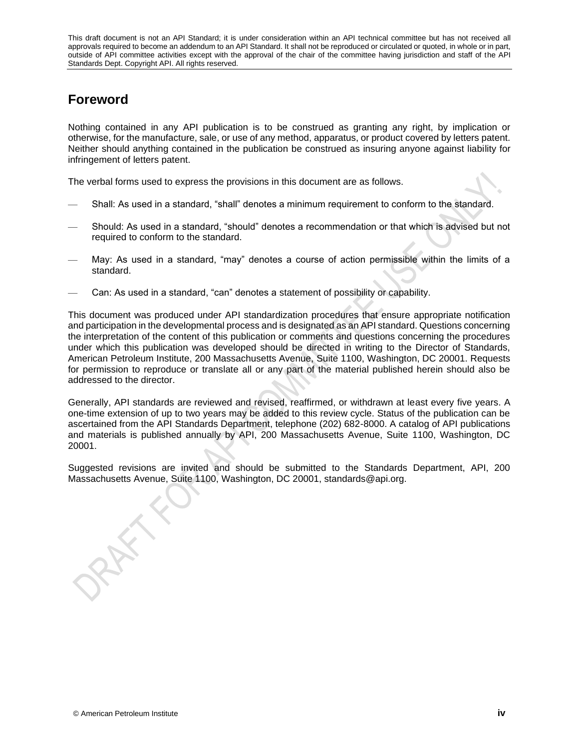# **Foreword**

Nothing contained in any API publication is to be construed as granting any right, by implication or otherwise, for the manufacture, sale, or use of any method, apparatus, or product covered by letters patent. Neither should anything contained in the publication be construed as insuring anyone against liability for infringement of letters patent.

The verbal forms used to express the provisions in this document are as follows.

- Shall: As used in a standard, "shall" denotes a minimum requirement to conform to the standard.
- Should: As used in a standard, "should" denotes a recommendation or that which is advised but not required to conform to the standard.
- May: As used in a standard, "may" denotes a course of action permissible within the limits of a standard.
- Can: As used in a standard, "can" denotes a statement of possibility or capability.

This document was produced under API standardization procedures that ensure appropriate notification and participation in the developmental process and is designated as an API standard. Questions concerning the interpretation of the content of this publication or comments and questions concerning the procedures under which this publication was developed should be directed in writing to the Director of Standards, American Petroleum Institute, 200 Massachusetts Avenue, Suite 1100, Washington, DC 20001. Requests for permission to reproduce or translate all or any part of the material published herein should also be addressed to the director.

Generally, API standards are reviewed and revised, reaffirmed, or withdrawn at least every five years. A one-time extension of up to two years may be added to this review cycle. Status of the publication can be ascertained from the API Standards Department, telephone (202) 682-8000. A catalog of API publications and materials is published annually by API, 200 Massachusetts Avenue, Suite 1100, Washington, DC 20001.

Suggested revisions are invited and should be submitted to the Standards Department, API, 200 Massachusetts Avenue, Suite 1100, Washington, DC 20001, standards@api.org.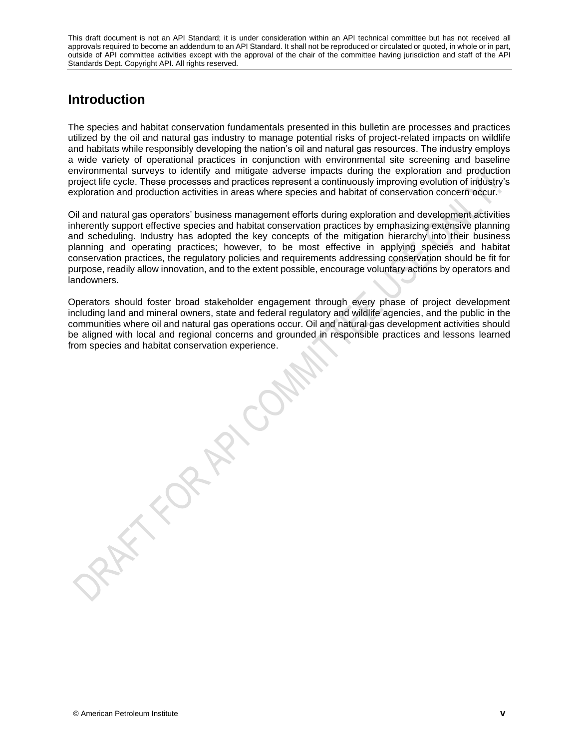# **Introduction**

The species and habitat conservation fundamentals presented in this bulletin are processes and practices utilized by the oil and natural gas industry to manage potential risks of project-related impacts on wildlife and habitats while responsibly developing the nation's oil and natural gas resources. The industry employs a wide variety of operational practices in conjunction with environmental site screening and baseline environmental surveys to identify and mitigate adverse impacts during the exploration and production project life cycle. These processes and practices represent a continuously improving evolution of industry's exploration and production activities in areas where species and habitat of conservation concern occur.

Oil and natural gas operators' business management efforts during exploration and development activities inherently support effective species and habitat conservation practices by emphasizing extensive planning and scheduling. Industry has adopted the key concepts of the mitigation hierarchy into their business planning and operating practices; however, to be most effective in applying species and habitat conservation practices, the regulatory policies and requirements addressing conservation should be fit for purpose, readily allow innovation, and to the extent possible, encourage voluntary actions by operators and landowners.

Operators should foster broad stakeholder engagement through every phase of project development including land and mineral owners, state and federal regulatory and wildlife agencies, and the public in the communities where oil and natural gas operations occur. Oil and natural gas development activities should be aligned with local and regional concerns and grounded in responsible practices and lessons learned from species and habitat conservation experience.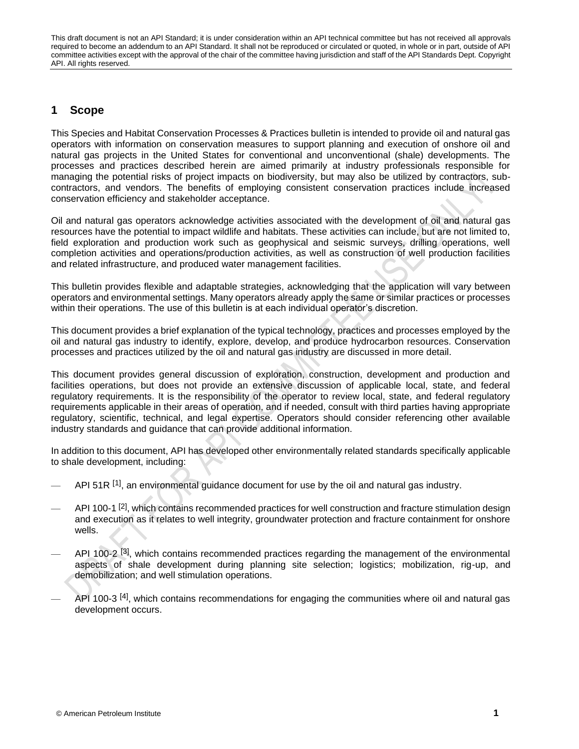# <span id="page-6-0"></span>**1 Scope**

This Species and Habitat Conservation Processes & Practices bulletin is intended to provide oil and natural gas operators with information on conservation measures to support planning and execution of onshore oil and natural gas projects in the United States for conventional and unconventional (shale) developments. The processes and practices described herein are aimed primarily at industry professionals responsible for managing the potential risks of project impacts on biodiversity, but may also be utilized by contractors, subcontractors, and vendors. The benefits of employing consistent conservation practices include increased conservation efficiency and stakeholder acceptance.

Oil and natural gas operators acknowledge activities associated with the development of oil and natural gas resources have the potential to impact wildlife and habitats. These activities can include, but are not limited to, field exploration and production work such as geophysical and seismic surveys, drilling operations, well completion activities and operations/production activities, as well as construction of well production facilities and related infrastructure, and produced water management facilities.

This bulletin provides flexible and adaptable strategies, acknowledging that the application will vary between operators and environmental settings. Many operators already apply the same or similar practices or processes within their operations. The use of this bulletin is at each individual operator's discretion.

This document provides a brief explanation of the typical technology, practices and processes employed by the oil and natural gas industry to identify, explore, develop, and produce hydrocarbon resources. Conservation processes and practices utilized by the oil and natural gas industry are discussed in more detail.

This document provides general discussion of exploration, construction, development and production and facilities operations, but does not provide an extensive discussion of applicable local, state, and federal regulatory requirements. It is the responsibility of the operator to review local, state, and federal regulatory requirements applicable in their areas of operation, and if needed, consult with third parties having appropriate regulatory, scientific, technical, and legal expertise. Operators should consider referencing other available industry standards and guidance that can provide additional information.

In addition to this document, API has developed other environmentally related standards specifically applicable to shale development, including:

- API 51R  $^{[1]}$  $^{[1]}$  $^{[1]}$ , an environmental guidance document for use by the oil and natural gas industry.
- <sup>2</sup> API 100-1<sup>[\[2\]](#page-40-2)</sup>, which contains recommended practices for well construction and fracture stimulation design and execution as it relates to well integrity, groundwater protection and fracture containment for onshore wells.
- $-$  API 100-2<sup>[\[3\]](#page-40-3)</sup>, which contains recommended practices regarding the management of the environmental aspects of shale development during planning site selection; logistics; mobilization, rig-up, and demobilization; and well stimulation operations.
- $-$  API 100-3<sup>[\[4\]](#page-40-4)</sup>, which contains recommendations for engaging the communities where oil and natural gas development occurs.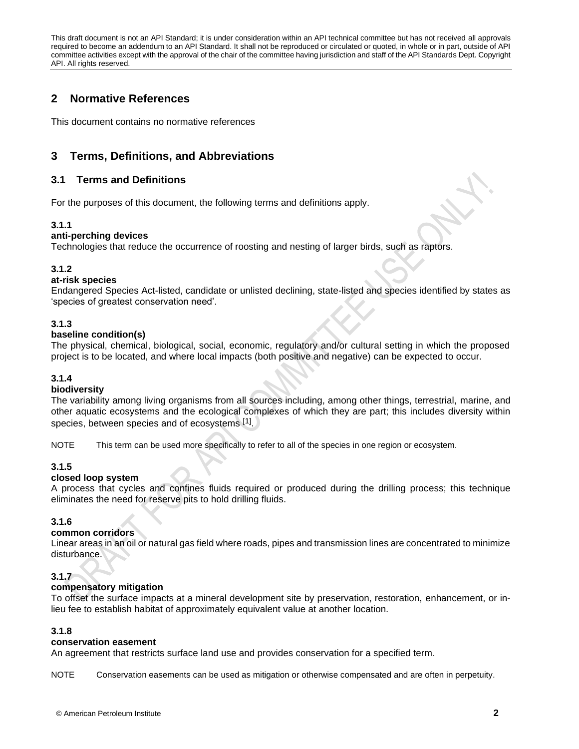# <span id="page-7-0"></span>**2 Normative References**

This document contains no normative references

# <span id="page-7-1"></span>**3 Terms, Definitions, and Abbreviations**

# <span id="page-7-2"></span>**3.1 Terms and Definitions**

For the purposes of this document, the following terms and definitions apply.

### **3.1.1**

### **anti-perching devices**

Technologies that reduce the occurrence of roosting and nesting of larger birds, such as raptors.

### **3.1.2**

### **at-risk species**

Endangered Species Act-listed, candidate or unlisted declining, state-listed and species identified by states as 'species of greatest conservation need'.

### **3.1.3**

### **baseline condition(s)**

The physical, chemical, biological, social, economic, regulatory and/or cultural setting in which the proposed project is to be located, and where local impacts (both positive and negative) can be expected to occur.

### **3.1.4**

### **biodiversity**

The variability among living organisms from all sources including, among other things, terrestrial, marine, and other aquatic ecosystems and the ecological complexes of which they are part; this includes diversity within species, between species and of ecosystems [1].

NOTE This term can be used more specifically to refer to all of the species in one region or ecosystem.

### **3.1.5**

### **closed loop system**

A process that cycles and confines fluids required or produced during the drilling process; this technique eliminates the need for reserve pits to hold drilling fluids.

### **3.1.6**

### **common corridors**

Linear areas in an oil or natural gas field where roads, pipes and transmission lines are concentrated to minimize disturbance.

### **3.1.7**

### **compensatory mitigation**

To offset the surface impacts at a mineral development site by preservation, restoration, enhancement, or inlieu fee to establish habitat of approximately equivalent value at another location.

### **3.1.8**

#### **conservation easement**

An agreement that restricts surface land use and provides conservation for a specified term.

NOTE Conservation easements can be used as mitigation or otherwise compensated and are often in perpetuity.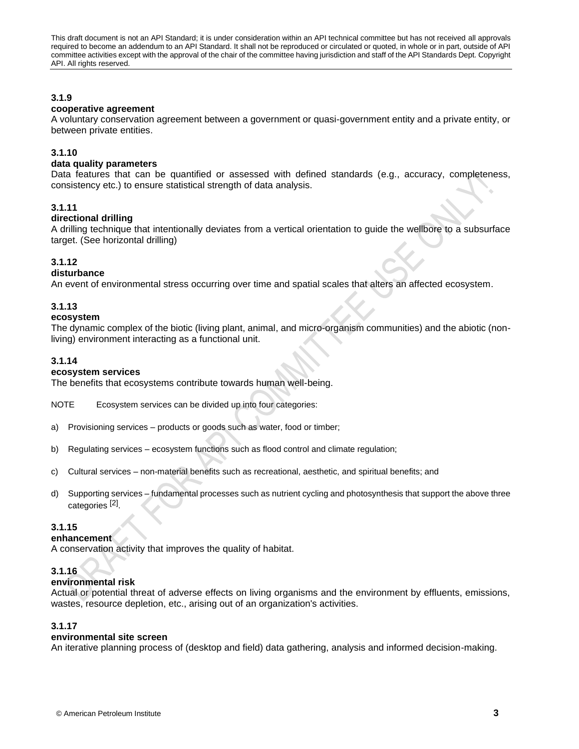### **3.1.9**

### **cooperative agreement**

A voluntary conservation agreement between a government or quasi-government entity and a private entity, or between private entities.

### **3.1.10**

#### **data quality parameters**

Data features that can be quantified or assessed with defined standards (e.g., accuracy, completeness, consistency etc.) to ensure statistical strength of data analysis.

### **3.1.11**

### **directional drilling**

A drilling technique that intentionally deviates from a vertical orientation to guide the wellbore to a subsurface target. (See horizontal drilling)

### **3.1.12**

### **disturbance**

An event of environmental stress occurring over time and spatial scales that alters an affected ecosystem.

### **3.1.13**

### **ecosystem**

The dynamic complex of the biotic (living plant, animal, and micro-organism communities) and the abiotic (nonliving) environment interacting as a functional unit.

### **3.1.14**

#### **ecosystem services**

The benefits that ecosystems contribute towards human well-being.

NOTE Ecosystem services can be divided up into four categories:

- a) Provisioning services products or goods such as water, food or timber;
- b) Regulating services ecosystem functions such as flood control and climate regulation;
- c) Cultural services non-material benefits such as recreational, aesthetic, and spiritual benefits; and
- d) Supporting services fundamental processes such as nutrient cycling and photosynthesis that support the above three categories<sup>[2]</sup>.

#### **3.1.15**

#### **enhancement**

A conservation activity that improves the quality of habitat.

### **3.1.16**

### **environmental risk**

Actual or potential threat of adverse effects on living organisms and the environment by effluents, emissions, wastes, resource depletion, etc., arising out of an organization's activities.

### **3.1.17**

#### **environmental site screen**

An iterative planning process of (desktop and field) data gathering, analysis and informed decision-making.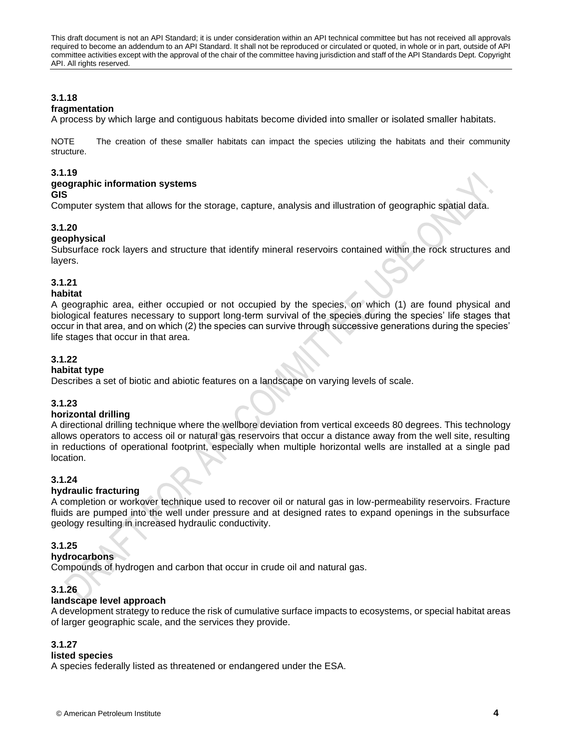**3.1.18**

### **fragmentation**

A process by which large and contiguous habitats become divided into smaller or isolated smaller habitats.

NOTE The creation of these smaller habitats can impact the species utilizing the habitats and their community structure.

### **3.1.19**

#### **geographic information systems GIS**

Computer system that allows for the storage, capture, analysis and illustration of geographic spatial data.

### **3.1.20**

### **geophysical**

Subsurface rock layers and structure that identify mineral reservoirs contained within the rock structures and layers.

# **3.1.21**

# **habitat**

A geographic area, either occupied or not occupied by the species, on which (1) are found physical and biological features necessary to support long-term survival of the species during the species' life stages that occur in that area, and on which (2) the species can survive through successive generations during the species' life stages that occur in that area.

### **3.1.22**

#### **habitat type**

Describes a set of biotic and abiotic features on a landscape on varying levels of scale.

### **3.1.23**

#### **horizontal drilling**

A directional drilling technique where the wellbore deviation from vertical exceeds 80 degrees. This technology allows operators to access oil or natural gas reservoirs that occur a distance away from the well site, resulting in reductions of operational footprint, especially when multiple horizontal wells are installed at a single pad location.

### **3.1.24**

### **hydraulic fracturing**

A completion or workover technique used to recover oil or natural gas in low-permeability reservoirs. Fracture fluids are pumped into the well under pressure and at designed rates to expand openings in the subsurface geology resulting in increased hydraulic conductivity.

### **3.1.25**

**hydrocarbons**

Compounds of hydrogen and carbon that occur in crude oil and natural gas.

### **3.1.26**

### **landscape level approach**

A development strategy to reduce the risk of cumulative surface impacts to ecosystems, or special habitat areas of larger geographic scale, and the services they provide.

### **3.1.27**

### **listed species**

A species federally listed as threatened or endangered under the ESA.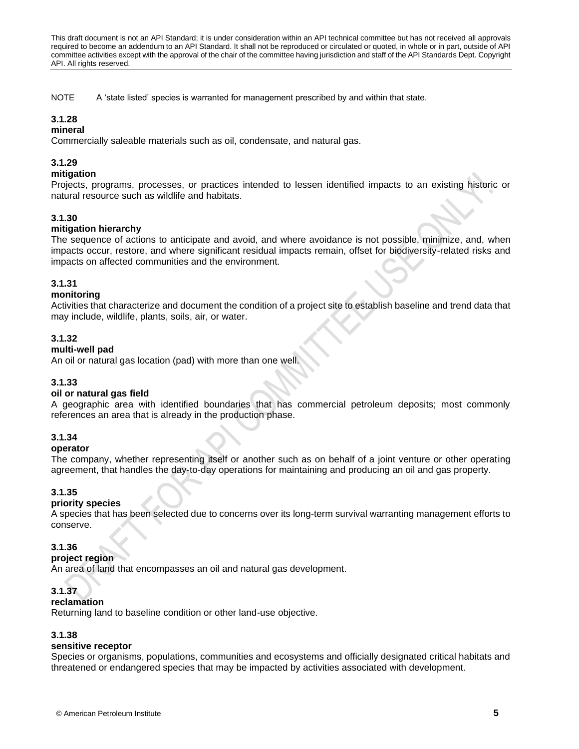NOTE A 'state listed' species is warranted for management prescribed by and within that state.

# **3.1.28**

### **mineral**

Commercially saleable materials such as oil, condensate, and natural gas.

### **3.1.29**

#### **mitigation**

Projects, programs, processes, or practices intended to lessen identified impacts to an existing historic or natural resource such as wildlife and habitats.

### **3.1.30**

### **mitigation hierarchy**

The sequence of actions to anticipate and avoid, and where avoidance is not possible, minimize, and, when impacts occur, restore, and where significant residual impacts remain, offset for biodiversity-related risks and impacts on affected communities and the environment.

### **3.1.31**

### **monitoring**

Activities that characterize and document the condition of a project site to establish baseline and trend data that may include, wildlife, plants, soils, air, or water.

### **3.1.32**

### **multi-well pad**

An oil or natural gas location (pad) with more than one well.

### **3.1.33**

#### **oil or natural gas field**

A geographic area with identified boundaries that has commercial petroleum deposits; most commonly references an area that is already in the production phase.

### **3.1.34**

#### **operator**

The company, whether representing itself or another such as on behalf of a joint venture or other operating agreement, that handles the day-to-day operations for maintaining and producing an oil and gas property.

### **3.1.35**

#### **priority species**

A species that has been selected due to concerns over its long-term survival warranting management efforts to conserve.

### **3.1.36**

**project region**

An area of land that encompasses an oil and natural gas development.

### **3.1.37**

#### **reclamation**

Returning land to baseline condition or other land-use objective.

#### **3.1.38**

#### **sensitive receptor**

Species or organisms, populations, communities and ecosystems and officially designated critical habitats and threatened or endangered species that may be impacted by activities associated with development.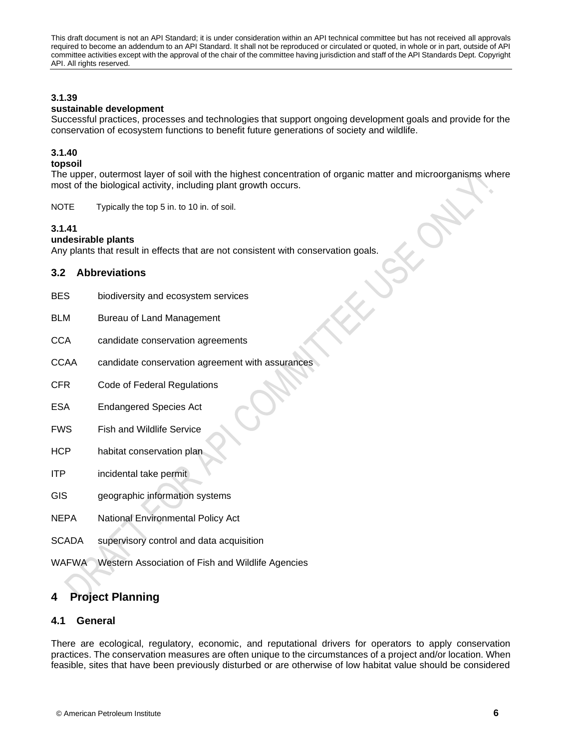### **3.1.39**

### **sustainable development**

Successful practices, processes and technologies that support ongoing development goals and provide for the conservation of ecosystem functions to benefit future generations of society and wildlife.

### **3.1.40**

### **topsoil**

The upper, outermost layer of soil with the highest concentration of organic matter and microorganisms where most of the biological activity, including plant growth occurs.

NOTE Typically the top 5 in. to 10 in. of soil.

### **3.1.41**

### **undesirable plants**

Any plants that result in effects that are not consistent with conservation goals.

### <span id="page-11-0"></span>**3.2 Abbreviations**

- BES biodiversity and ecosystem services
- BLM Bureau of Land Management
- CCA candidate conservation agreements
- CCAA candidate conservation agreement with assurances
- CFR Code of Federal Regulations
- ESA Endangered Species Act
- FWS Fish and Wildlife Service
- HCP habitat conservation plan
- ITP incidental take permit
- GIS geographic information systems
- NEPA National Environmental Policy Act
- SCADA supervisory control and data acquisition
- <span id="page-11-1"></span>WAFWA Western Association of Fish and Wildlife Agencies

# **4 Project Planning**

### <span id="page-11-2"></span>**4.1 General**

There are ecological, regulatory, economic, and reputational drivers for operators to apply conservation practices. The conservation measures are often unique to the circumstances of a project and/or location. When feasible, sites that have been previously disturbed or are otherwise of low habitat value should be considered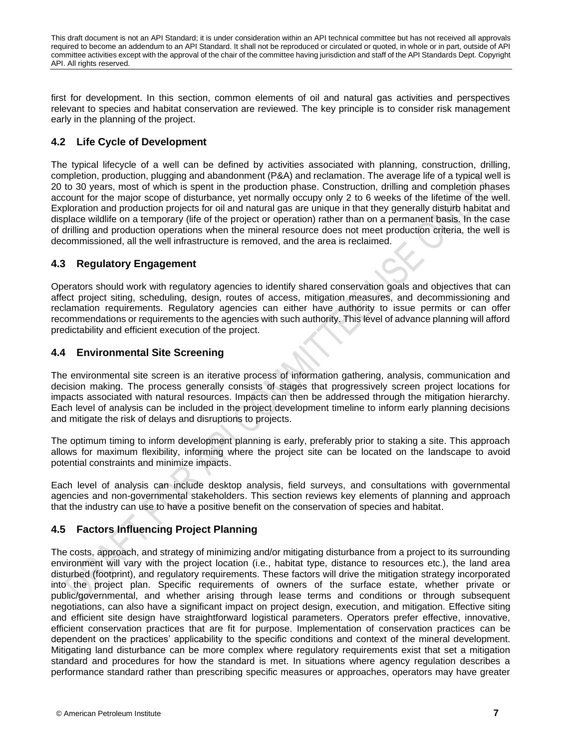first for development. In this section, common elements of oil and natural gas activities and perspectives relevant to species and habitat conservation are reviewed. The key principle is to consider risk management early in the planning of the project.

# <span id="page-12-0"></span>**4.2 Life Cycle of Development**

The typical lifecycle of a well can be defined by activities associated with planning, construction, drilling, completion, production, plugging and abandonment (P&A) and reclamation. The average life of a typical well is 20 to 30 years, most of which is spent in the production phase. Construction, drilling and completion phases account for the major scope of disturbance, yet normally occupy only 2 to 6 weeks of the lifetime of the well. Exploration and production projects for oil and natural gas are unique in that they generally disturb habitat and displace wildlife on a temporary (life of the project or operation) rather than on a permanent basis. In the case of drilling and production operations when the mineral resource does not meet production criteria, the well is decommissioned, all the well infrastructure is removed, and the area is reclaimed.

# <span id="page-12-1"></span>**4.3 Regulatory Engagement**

Operators should work with regulatory agencies to identify shared conservation goals and objectives that can affect project siting, scheduling, design, routes of access, mitigation measures, and decommissioning and reclamation requirements. Regulatory agencies can either have authority to issue permits or can offer recommendations or requirements to the agencies with such authority. This level of advance planning will afford predictability and efficient execution of the project.

# <span id="page-12-2"></span>**4.4 Environmental Site Screening**

The environmental site screen is an iterative process of information gathering, analysis, communication and decision making. The process generally consists of stages that progressively screen project locations for impacts associated with natural resources. Impacts can then be addressed through the mitigation hierarchy. Each level of analysis can be included in the project development timeline to inform early planning decisions and mitigate the risk of delays and disruptions to projects.

The optimum timing to inform development planning is early, preferably prior to staking a site. This approach allows for maximum flexibility, informing where the project site can be located on the landscape to avoid potential constraints and minimize impacts.

Each level of analysis can include desktop analysis, field surveys, and consultations with governmental agencies and non-governmental stakeholders. This section reviews key elements of planning and approach that the industry can use to have a positive benefit on the conservation of species and habitat.

# <span id="page-12-3"></span>**4.5 Factors Influencing Project Planning**

The costs, approach, and strategy of minimizing and/or mitigating disturbance from a project to its surrounding environment will vary with the project location (i.e., habitat type, distance to resources etc.), the land area disturbed (footprint), and regulatory requirements. These factors will drive the mitigation strategy incorporated into the project plan. Specific requirements of owners of the surface estate, whether private or public/governmental, and whether arising through lease terms and conditions or through subsequent negotiations, can also have a significant impact on project design, execution, and mitigation. Effective siting and efficient site design have straightforward logistical parameters. Operators prefer effective, innovative, efficient conservation practices that are fit for purpose. Implementation of conservation practices can be dependent on the practices' applicability to the specific conditions and context of the mineral development. Mitigating land disturbance can be more complex where regulatory requirements exist that set a mitigation standard and procedures for how the standard is met. In situations where agency regulation describes a performance standard rather than prescribing specific measures or approaches, operators may have greater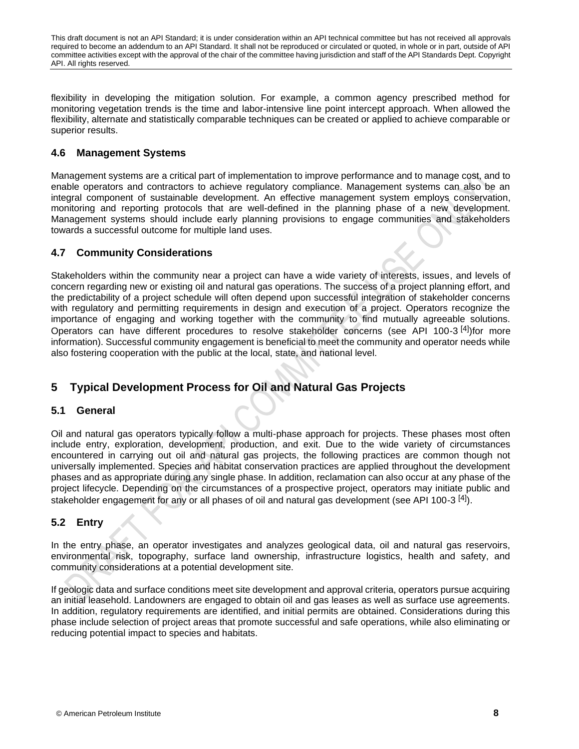flexibility in developing the mitigation solution. For example, a common agency prescribed method for monitoring vegetation trends is the time and labor-intensive line point intercept approach. When allowed the flexibility, alternate and statistically comparable techniques can be created or applied to achieve comparable or superior results.

# <span id="page-13-0"></span>**4.6 Management Systems**

Management systems are a critical part of implementation to improve performance and to manage cost, and to enable operators and contractors to achieve regulatory compliance. Management systems can also be an integral component of sustainable development. An effective management system employs conservation, monitoring and reporting protocols that are well-defined in the planning phase of a new development. Management systems should include early planning provisions to engage communities and stakeholders towards a successful outcome for multiple land uses.

# <span id="page-13-1"></span>**4.7 Community Considerations**

Stakeholders within the community near a project can have a wide variety of interests, issues, and levels of concern regarding new or existing oil and natural gas operations. The success of a project planning effort, and the predictability of a project schedule will often depend upon successful integration of stakeholder concerns with regulatory and permitting requirements in design and execution of a project. Operators recognize the importance of engaging and working together with the community to find mutually agreeable solutions. Operators can have different procedures to resolve stakeholder concerns (see API 100-3<sup>[\[4\]](#page-40-4)</sup>)for more information). Successful community engagement is beneficial to meet the community and operator needs while also fostering cooperation with the public at the local, state, and national level.

# <span id="page-13-2"></span>**5 Typical Development Process for Oil and Natural Gas Projects**

# <span id="page-13-3"></span>**5.1 General**

Oil and natural gas operators typically follow a multi-phase approach for projects. These phases most often include entry, exploration, development, production, and exit. Due to the wide variety of circumstances encountered in carrying out oil and natural gas projects, the following practices are common though not universally implemented. Species and habitat conservation practices are applied throughout the development phases and as appropriate during any single phase. In addition, reclamation can also occur at any phase of the project lifecycle. Depending on the circumstances of a prospective project, operators may initiate public and stakeholder engagement for any or all phases of oil and natural gas development (see API 100-3<sup>[\[4\]](#page-40-4)</sup>).

# <span id="page-13-4"></span>**5.2 Entry**

In the entry phase, an operator investigates and analyzes geological data, oil and natural gas reservoirs, environmental risk, topography, surface land ownership, infrastructure logistics, health and safety, and community considerations at a potential development site.

If geologic data and surface conditions meet site development and approval criteria, operators pursue acquiring an initial leasehold. Landowners are engaged to obtain oil and gas leases as well as surface use agreements. In addition, regulatory requirements are identified, and initial permits are obtained. Considerations during this phase include selection of project areas that promote successful and safe operations, while also eliminating or reducing potential impact to species and habitats.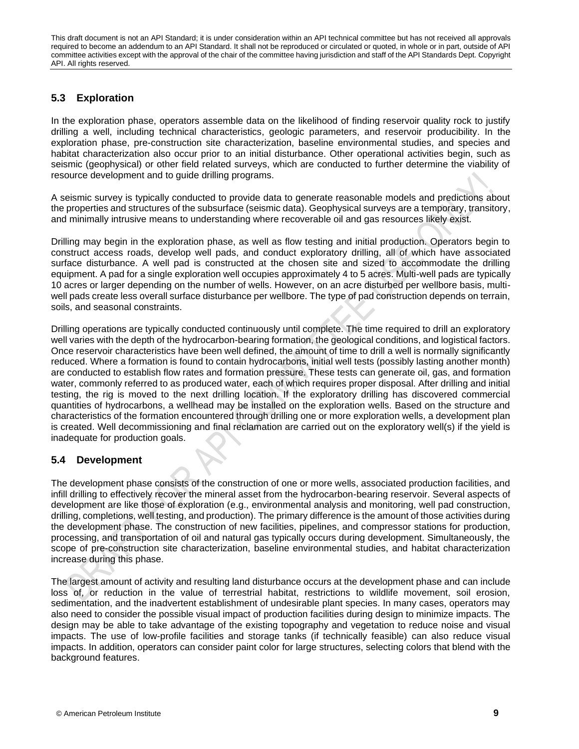# <span id="page-14-0"></span>**5.3 Exploration**

In the exploration phase, operators assemble data on the likelihood of finding reservoir quality rock to justify drilling a well, including technical characteristics, geologic parameters, and reservoir producibility. In the exploration phase, pre-construction site characterization, baseline environmental studies, and species and habitat characterization also occur prior to an initial disturbance. Other operational activities begin, such as seismic (geophysical) or other field related surveys, which are conducted to further determine the viability of resource development and to guide drilling programs.

A seismic survey is typically conducted to provide data to generate reasonable models and predictions about the properties and structures of the subsurface (seismic data). Geophysical surveys are a temporary, transitory, and minimally intrusive means to understanding where recoverable oil and gas resources likely exist.

Drilling may begin in the exploration phase, as well as flow testing and initial production. Operators begin to construct access roads, develop well pads, and conduct exploratory drilling, all of which have associated surface disturbance. A well pad is constructed at the chosen site and sized to accommodate the drilling equipment. A pad for a single exploration well occupies approximately 4 to 5 acres. Multi-well pads are typically 10 acres or larger depending on the number of wells. However, on an acre disturbed per wellbore basis, multiwell pads create less overall surface disturbance per wellbore. The type of pad construction depends on terrain, soils, and seasonal constraints.

Drilling operations are typically conducted continuously until complete. The time required to drill an exploratory well varies with the depth of the hydrocarbon-bearing formation, the geological conditions, and logistical factors. Once reservoir characteristics have been well defined, the amount of time to drill a well is normally significantly reduced. Where a formation is found to contain hydrocarbons, initial well tests (possibly lasting another month) are conducted to establish flow rates and formation pressure. These tests can generate oil, gas, and formation water, commonly referred to as produced water, each of which requires proper disposal. After drilling and initial testing, the rig is moved to the next drilling location. If the exploratory drilling has discovered commercial quantities of hydrocarbons, a wellhead may be installed on the exploration wells. Based on the structure and characteristics of the formation encountered through drilling one or more exploration wells, a development plan is created. Well decommissioning and final reclamation are carried out on the exploratory well(s) if the yield is inadequate for production goals.

# <span id="page-14-1"></span>**5.4 Development**

The development phase consists of the construction of one or more wells, associated production facilities, and infill drilling to effectively recover the mineral asset from the hydrocarbon-bearing reservoir. Several aspects of development are like those of exploration (e.g., environmental analysis and monitoring, well pad construction, drilling, completions, well testing, and production). The primary difference is the amount of those activities during the development phase. The construction of new facilities, pipelines, and compressor stations for production, processing, and transportation of oil and natural gas typically occurs during development. Simultaneously, the scope of pre-construction site characterization, baseline environmental studies, and habitat characterization increase during this phase.

The largest amount of activity and resulting land disturbance occurs at the development phase and can include loss of, or reduction in the value of terrestrial habitat, restrictions to wildlife movement, soil erosion, sedimentation, and the inadvertent establishment of undesirable plant species. In many cases, operators may also need to consider the possible visual impact of production facilities during design to minimize impacts. The design may be able to take advantage of the existing topography and vegetation to reduce noise and visual impacts. The use of low-profile facilities and storage tanks (if technically feasible) can also reduce visual impacts. In addition, operators can consider paint color for large structures, selecting colors that blend with the background features.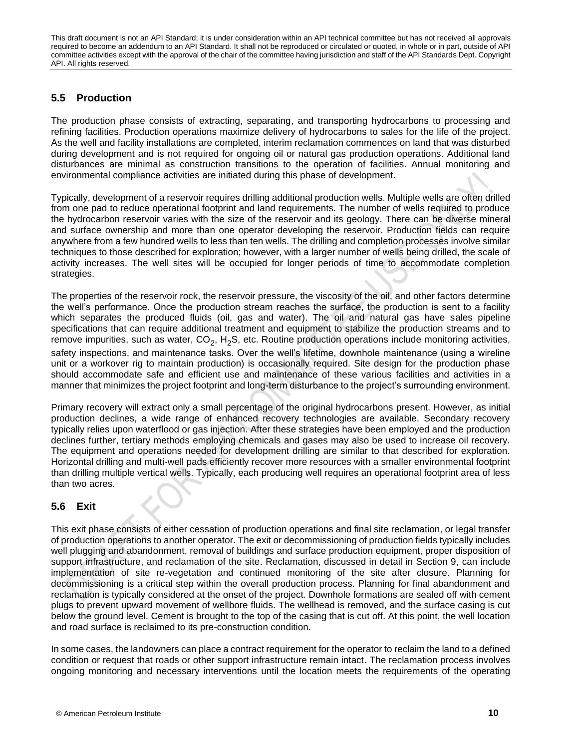# <span id="page-15-0"></span>**5.5 Production**

The production phase consists of extracting, separating, and transporting hydrocarbons to processing and refining facilities. Production operations maximize delivery of hydrocarbons to sales for the life of the project. As the well and facility installations are completed, interim reclamation commences on land that was disturbed during development and is not required for ongoing oil or natural gas production operations. Additional land disturbances are minimal as construction transitions to the operation of facilities. Annual monitoring and environmental compliance activities are initiated during this phase of development.

Typically, development of a reservoir requires drilling additional production wells. Multiple wells are often drilled from one pad to reduce operational footprint and land requirements. The number of wells required to produce the hydrocarbon reservoir varies with the size of the reservoir and its geology. There can be diverse mineral and surface ownership and more than one operator developing the reservoir. Production fields can require anywhere from a few hundred wells to less than ten wells. The drilling and completion processes involve similar techniques to those described for exploration; however, with a larger number of wells being drilled, the scale of activity increases. The well sites will be occupied for longer periods of time to accommodate completion strategies.

The properties of the reservoir rock, the reservoir pressure, the viscosity of the oil, and other factors determine the well's performance. Once the production stream reaches the surface, the production is sent to a facility which separates the produced fluids (oil, gas and water). The oil and natural gas have sales pipeline specifications that can require additional treatment and equipment to stabilize the production streams and to remove impurities, such as water, CO<sub>2</sub>, H<sub>2</sub>S, etc. Routine production operations include monitoring activities, safety inspections, and maintenance tasks. Over the well's lifetime, downhole maintenance (using a wireline unit or a workover rig to maintain production) is occasionally required. Site design for the production phase should accommodate safe and efficient use and maintenance of these various facilities and activities in a manner that minimizes the project footprint and long-term disturbance to the project's surrounding environment.

Primary recovery will extract only a small percentage of the original hydrocarbons present. However, as initial production declines, a wide range of enhanced recovery technologies are available. Secondary recovery typically relies upon waterflood or gas injection. After these strategies have been employed and the production declines further, tertiary methods employing chemicals and gases may also be used to increase oil recovery. The equipment and operations needed for development drilling are similar to that described for exploration. Horizontal drilling and multi-well pads efficiently recover more resources with a smaller environmental footprint than drilling multiple vertical wells. Typically, each producing well requires an operational footprint area of less than two acres.

# <span id="page-15-1"></span>**5.6 Exit**

This exit phase consists of either cessation of production operations and final site reclamation, or legal transfer of production operations to another operator. The exit or decommissioning of production fields typically includes well plugging and abandonment, removal of buildings and surface production equipment, proper disposition of support infrastructure, and reclamation of the site. Reclamation, discussed in detail in Section 9, can include implementation of site re-vegetation and continued monitoring of the site after closure. Planning for decommissioning is a critical step within the overall production process. Planning for final abandonment and reclamation is typically considered at the onset of the project. Downhole formations are sealed off with cement plugs to prevent upward movement of wellbore fluids. The wellhead is removed, and the surface casing is cut below the ground level. Cement is brought to the top of the casing that is cut off. At this point, the well location and road surface is reclaimed to its pre-construction condition.

In some cases, the landowners can place a contract requirement for the operator to reclaim the land to a defined condition or request that roads or other support infrastructure remain intact. The reclamation process involves ongoing monitoring and necessary interventions until the location meets the requirements of the operating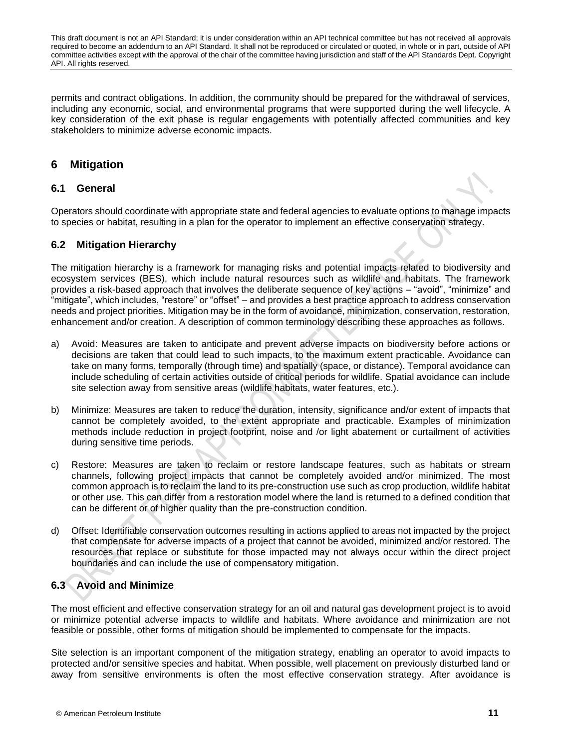permits and contract obligations. In addition, the community should be prepared for the withdrawal of services, including any economic, social, and environmental programs that were supported during the well lifecycle. A key consideration of the exit phase is regular engagements with potentially affected communities and key stakeholders to minimize adverse economic impacts.

# <span id="page-16-0"></span>**6 Mitigation**

# <span id="page-16-1"></span>**6.1 General**

Operators should coordinate with appropriate state and federal agencies to evaluate options to manage impacts to species or habitat, resulting in a plan for the operator to implement an effective conservation strategy.

# <span id="page-16-2"></span>**6.2 Mitigation Hierarchy**

The mitigation hierarchy is a framework for managing risks and potential impacts related to biodiversity and ecosystem services (BES), which include natural resources such as wildlife and habitats. The framework provides a risk-based approach that involves the deliberate sequence of key actions – "avoid", "minimize" and "mitigate", which includes, "restore" or "offset" – and provides a best practice approach to address conservation needs and project priorities. Mitigation may be in the form of avoidance, minimization, conservation, restoration, enhancement and/or creation. A description of common terminology describing these approaches as follows.

- a) Avoid: Measures are taken to anticipate and prevent adverse impacts on biodiversity before actions or decisions are taken that could lead to such impacts, to the maximum extent practicable. Avoidance can take on many forms, temporally (through time) and spatially (space, or distance). Temporal avoidance can include scheduling of certain activities outside of critical periods for wildlife. Spatial avoidance can include site selection away from sensitive areas (wildlife habitats, water features, etc.).
- b) Minimize: Measures are taken to reduce the duration, intensity, significance and/or extent of impacts that cannot be completely avoided, to the extent appropriate and practicable. Examples of minimization methods include reduction in project footprint, noise and /or light abatement or curtailment of activities during sensitive time periods.
- c) Restore: Measures are taken to reclaim or restore landscape features, such as habitats or stream channels, following project impacts that cannot be completely avoided and/or minimized. The most common approach is to reclaim the land to its pre-construction use such as crop production, wildlife habitat or other use. This can differ from a restoration model where the land is returned to a defined condition that can be different or of higher quality than the pre-construction condition.
- d) Offset: Identifiable conservation outcomes resulting in actions applied to areas not impacted by the project that compensate for adverse impacts of a project that cannot be avoided, minimized and/or restored. The resources that replace or substitute for those impacted may not always occur within the direct project boundaries and can include the use of compensatory mitigation.

# <span id="page-16-3"></span>**6.3 Avoid and Minimize**

The most efficient and effective conservation strategy for an oil and natural gas development project is to avoid or minimize potential adverse impacts to wildlife and habitats. Where avoidance and minimization are not feasible or possible, other forms of mitigation should be implemented to compensate for the impacts.

Site selection is an important component of the mitigation strategy, enabling an operator to avoid impacts to protected and/or sensitive species and habitat. When possible, well placement on previously disturbed land or away from sensitive environments is often the most effective conservation strategy. After avoidance is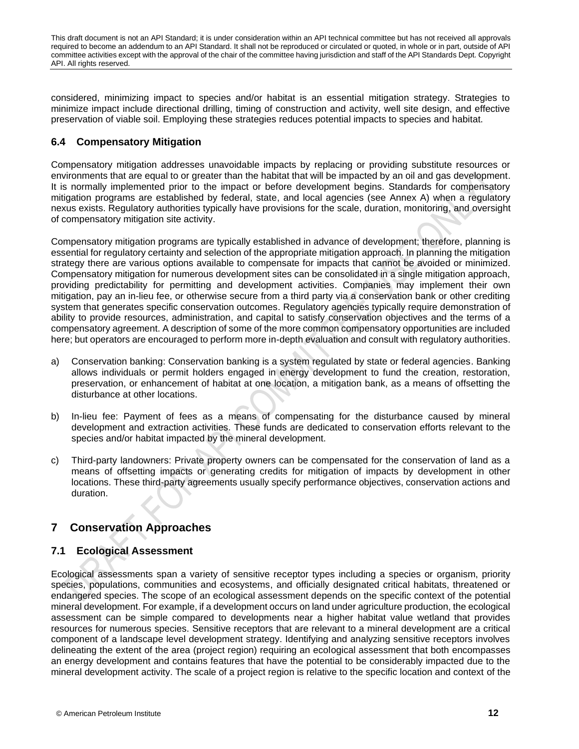considered, minimizing impact to species and/or habitat is an essential mitigation strategy. Strategies to minimize impact include directional drilling, timing of construction and activity, well site design, and effective preservation of viable soil. Employing these strategies reduces potential impacts to species and habitat.

# <span id="page-17-0"></span>**6.4 Compensatory Mitigation**

Compensatory mitigation addresses unavoidable impacts by replacing or providing substitute resources or environments that are equal to or greater than the habitat that will be impacted by an oil and gas development. It is normally implemented prior to the impact or before development begins. Standards for compensatory mitigation programs are established by federal, state, and local agencies (see Annex A) when a regulatory nexus exists. Regulatory authorities typically have provisions for the scale, duration, monitoring, and oversight of compensatory mitigation site activity.

Compensatory mitigation programs are typically established in advance of development; therefore, planning is essential for regulatory certainty and selection of the appropriate mitigation approach. In planning the mitigation strategy there are various options available to compensate for impacts that cannot be avoided or minimized. Compensatory mitigation for numerous development sites can be consolidated in a single mitigation approach, providing predictability for permitting and development activities. Companies may implement their own mitigation, pay an in-lieu fee, or otherwise secure from a third party via a conservation bank or other crediting system that generates specific conservation outcomes. Regulatory agencies typically require demonstration of ability to provide resources, administration, and capital to satisfy conservation objectives and the terms of a compensatory agreement. A description of some of the more common compensatory opportunities are included here; but operators are encouraged to perform more in-depth evaluation and consult with regulatory authorities.

- a) Conservation banking: Conservation banking is a system regulated by state or federal agencies. Banking allows individuals or permit holders engaged in energy development to fund the creation, restoration, preservation, or enhancement of habitat at one location, a mitigation bank, as a means of offsetting the disturbance at other locations.
- b) In-lieu fee: Payment of fees as a means of compensating for the disturbance caused by mineral development and extraction activities. These funds are dedicated to conservation efforts relevant to the species and/or habitat impacted by the mineral development.
- c) Third-party landowners: Private property owners can be compensated for the conservation of land as a means of offsetting impacts or generating credits for mitigation of impacts by development in other locations. These third-party agreements usually specify performance objectives, conservation actions and duration.

# <span id="page-17-1"></span>**7 Conservation Approaches**

# <span id="page-17-2"></span>**7.1 Ecological Assessment**

Ecological assessments span a variety of sensitive receptor types including a species or organism, priority species, populations, communities and ecosystems, and officially designated critical habitats, threatened or endangered species. The scope of an ecological assessment depends on the specific context of the potential mineral development. For example, if a development occurs on land under agriculture production, the ecological assessment can be simple compared to developments near a higher habitat value wetland that provides resources for numerous species. Sensitive receptors that are relevant to a mineral development are a critical component of a landscape level development strategy. Identifying and analyzing sensitive receptors involves delineating the extent of the area (project region) requiring an ecological assessment that both encompasses an energy development and contains features that have the potential to be considerably impacted due to the mineral development activity. The scale of a project region is relative to the specific location and context of the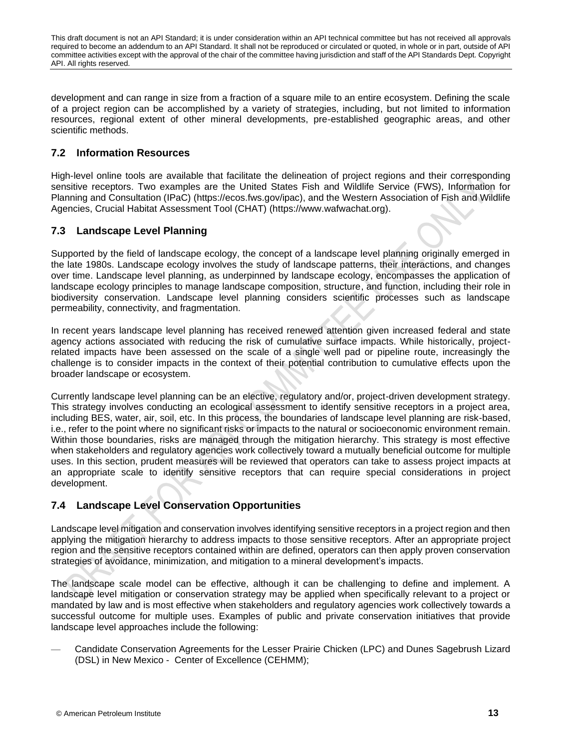development and can range in size from a fraction of a square mile to an entire ecosystem. Defining the scale of a project region can be accomplished by a variety of strategies, including, but not limited to information resources, regional extent of other mineral developments, pre-established geographic areas, and other scientific methods.

# <span id="page-18-0"></span>**7.2 Information Resources**

High-level online tools are available that facilitate the delineation of project regions and their corresponding sensitive receptors. Two examples are the United States Fish and Wildlife Service (FWS), Information for Planning and Consultation (IPaC) (https://ecos.fws.gov/ipac), and the Western Association of Fish and Wildlife Agencies, Crucial Habitat Assessment Tool (CHAT) (https://www.wafwachat.org).

# <span id="page-18-1"></span>**7.3 Landscape Level Planning**

Supported by the field of landscape ecology, the concept of a landscape level planning originally emerged in the late 1980s. Landscape ecology involves the study of landscape patterns, their interactions, and changes over time. Landscape level planning, as underpinned by landscape ecology, encompasses the application of landscape ecology principles to manage landscape composition, structure, and function, including their role in biodiversity conservation. Landscape level planning considers scientific processes such as landscape permeability, connectivity, and fragmentation.

In recent years landscape level planning has received renewed attention given increased federal and state agency actions associated with reducing the risk of cumulative surface impacts. While historically, projectrelated impacts have been assessed on the scale of a single well pad or pipeline route, increasingly the challenge is to consider impacts in the context of their potential contribution to cumulative effects upon the broader landscape or ecosystem.

Currently landscape level planning can be an elective, regulatory and/or, project-driven development strategy. This strategy involves conducting an ecological assessment to identify sensitive receptors in a project area, including BES, water, air, soil, etc. In this process, the boundaries of landscape level planning are risk-based, i.e., refer to the point where no significant risks or impacts to the natural or socioeconomic environment remain. Within those boundaries, risks are managed through the mitigation hierarchy. This strategy is most effective when stakeholders and regulatory agencies work collectively toward a mutually beneficial outcome for multiple uses. In this section, prudent measures will be reviewed that operators can take to assess project impacts at an appropriate scale to identify sensitive receptors that can require special considerations in project development.

# <span id="page-18-2"></span>**7.4 Landscape Level Conservation Opportunities**

Landscape level mitigation and conservation involves identifying sensitive receptors in a project region and then applying the mitigation hierarchy to address impacts to those sensitive receptors. After an appropriate project region and the sensitive receptors contained within are defined, operators can then apply proven conservation strategies of avoidance, minimization, and mitigation to a mineral development's impacts.

The landscape scale model can be effective, although it can be challenging to define and implement. A landscape level mitigation or conservation strategy may be applied when specifically relevant to a project or mandated by law and is most effective when stakeholders and regulatory agencies work collectively towards a successful outcome for multiple uses. Examples of public and private conservation initiatives that provide landscape level approaches include the following:

— Candidate Conservation Agreements for the Lesser Prairie Chicken (LPC) and Dunes Sagebrush Lizard (DSL) in New Mexico - Center of Excellence (CEHMM);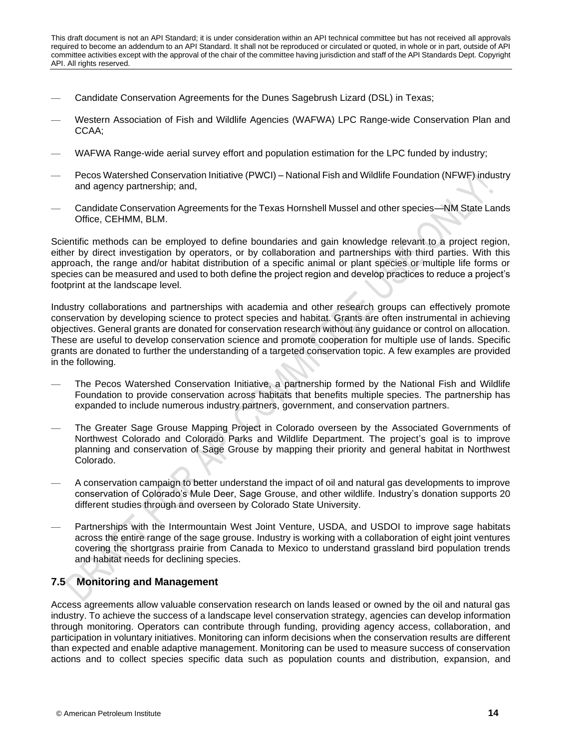- Candidate Conservation Agreements for the Dunes Sagebrush Lizard (DSL) in Texas;
- Western Association of Fish and Wildlife Agencies (WAFWA) LPC Range-wide Conservation Plan and CCAA;
- WAFWA Range-wide aerial survey effort and population estimation for the LPC funded by industry;
- Pecos Watershed Conservation Initiative (PWCI) National Fish and Wildlife Foundation (NFWF) industry and agency partnership; and,
- Candidate Conservation Agreements for the Texas Hornshell Mussel and other species—NM State Lands Office, CEHMM, BLM.

Scientific methods can be employed to define boundaries and gain knowledge relevant to a project region, either by direct investigation by operators, or by collaboration and partnerships with third parties. With this approach, the range and/or habitat distribution of a specific animal or plant species or multiple life forms or species can be measured and used to both define the project region and develop practices to reduce a project's footprint at the landscape level.

Industry collaborations and partnerships with academia and other research groups can effectively promote conservation by developing science to protect species and habitat. Grants are often instrumental in achieving objectives. General grants are donated for conservation research without any guidance or control on allocation. These are useful to develop conservation science and promote cooperation for multiple use of lands. Specific grants are donated to further the understanding of a targeted conservation topic. A few examples are provided in the following.

- The Pecos Watershed Conservation Initiative, a partnership formed by the National Fish and Wildlife Foundation to provide conservation across habitats that benefits multiple species. The partnership has expanded to include numerous industry partners, government, and conservation partners.
- The Greater Sage Grouse Mapping Project in Colorado overseen by the Associated Governments of Northwest Colorado and Colorado Parks and Wildlife Department. The project's goal is to improve planning and conservation of Sage Grouse by mapping their priority and general habitat in Northwest Colorado.
- A conservation campaign to better understand the impact of oil and natural gas developments to improve conservation of Colorado's Mule Deer, Sage Grouse, and other wildlife. Industry's donation supports 20 different studies through and overseen by Colorado State University.
- Partnerships with the Intermountain West Joint Venture, USDA, and USDOI to improve sage habitats across the entire range of the sage grouse. Industry is working with a collaboration of eight joint ventures covering the shortgrass prairie from Canada to Mexico to understand grassland bird population trends and habitat needs for declining species.

# <span id="page-19-0"></span>**7.5 Monitoring and Management**

Access agreements allow valuable conservation research on lands leased or owned by the oil and natural gas industry. To achieve the success of a landscape level conservation strategy, agencies can develop information through monitoring. Operators can contribute through funding, providing agency access, collaboration, and participation in voluntary initiatives. Monitoring can inform decisions when the conservation results are different than expected and enable adaptive management. Monitoring can be used to measure success of conservation actions and to collect species specific data such as population counts and distribution, expansion, and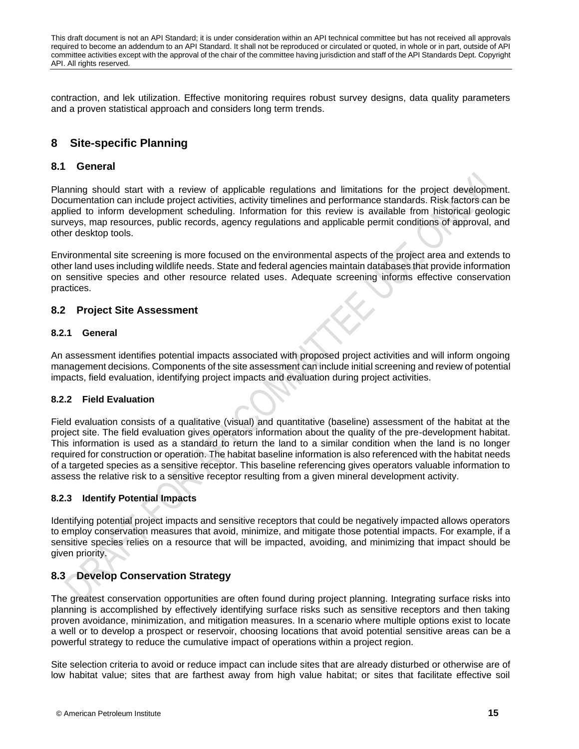contraction, and lek utilization. Effective monitoring requires robust survey designs, data quality parameters and a proven statistical approach and considers long term trends.

# <span id="page-20-0"></span>**8 Site-specific Planning**

# <span id="page-20-1"></span>**8.1 General**

Planning should start with a review of applicable regulations and limitations for the project development. Documentation can include project activities, activity timelines and performance standards. Risk factors can be applied to inform development scheduling. Information for this review is available from historical geologic surveys, map resources, public records, agency regulations and applicable permit conditions of approval, and other desktop tools.

Environmental site screening is more focused on the environmental aspects of the project area and extends to other land uses including wildlife needs. State and federal agencies maintain databases that provide information on sensitive species and other resource related uses. Adequate screening informs effective conservation practices.

### <span id="page-20-2"></span>**8.2 Project Site Assessment**

### **8.2.1 General**

An assessment identifies potential impacts associated with proposed project activities and will inform ongoing management decisions. Components of the site assessment can include initial screening and review of potential impacts, field evaluation, identifying project impacts and evaluation during project activities.

### **8.2.2 Field Evaluation**

Field evaluation consists of a qualitative (visual) and quantitative (baseline) assessment of the habitat at the project site. The field evaluation gives operators information about the quality of the pre-development habitat. This information is used as a standard to return the land to a similar condition when the land is no longer required for construction or operation. The habitat baseline information is also referenced with the habitat needs of a targeted species as a sensitive receptor. This baseline referencing gives operators valuable information to assess the relative risk to a sensitive receptor resulting from a given mineral development activity.

# **8.2.3 Identify Potential Impacts**

Identifying potential project impacts and sensitive receptors that could be negatively impacted allows operators to employ conservation measures that avoid, minimize, and mitigate those potential impacts. For example, if a sensitive species relies on a resource that will be impacted, avoiding, and minimizing that impact should be given priority.

# <span id="page-20-3"></span>**8.3 Develop Conservation Strategy**

The greatest conservation opportunities are often found during project planning. Integrating surface risks into planning is accomplished by effectively identifying surface risks such as sensitive receptors and then taking proven avoidance, minimization, and mitigation measures. In a scenario where multiple options exist to locate a well or to develop a prospect or reservoir, choosing locations that avoid potential sensitive areas can be a powerful strategy to reduce the cumulative impact of operations within a project region.

Site selection criteria to avoid or reduce impact can include sites that are already disturbed or otherwise are of low habitat value; sites that are farthest away from high value habitat; or sites that facilitate effective soil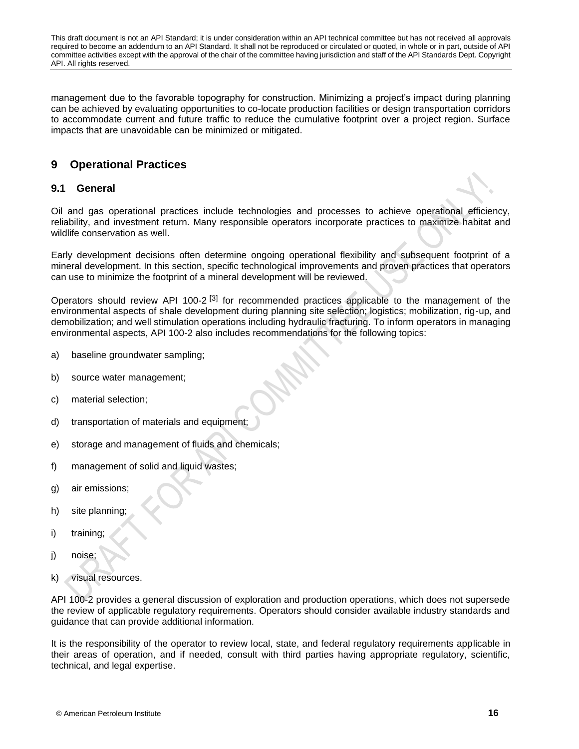management due to the favorable topography for construction. Minimizing a project's impact during planning can be achieved by evaluating opportunities to co-locate production facilities or design transportation corridors to accommodate current and future traffic to reduce the cumulative footprint over a project region. Surface impacts that are unavoidable can be minimized or mitigated.

# <span id="page-21-0"></span>**9 Operational Practices**

# <span id="page-21-1"></span>**9.1 General**

Oil and gas operational practices include technologies and processes to achieve operational efficiency, reliability, and investment return. Many responsible operators incorporate practices to maximize habitat and wildlife conservation as well.

Early development decisions often determine ongoing operational flexibility and subsequent footprint of a mineral development. In this section, specific technological improvements and proven practices that operators can use to minimize the footprint of a mineral development will be reviewed.

Operators should review API 100-2<sup>[\[3\]](#page-40-3)</sup> for recommended practices applicable to the management of the environmental aspects of shale development during planning site selection; logistics; mobilization, rig-up, and demobilization; and well stimulation operations including hydraulic fracturing. To inform operators in managing environmental aspects, API 100-2 also includes recommendations for the following topics:

- a) baseline groundwater sampling;
- b) source water management;
- c) material selection;
- d) transportation of materials and equipment;
- e) storage and management of fluids and chemicals;
- f) management of solid and liquid wastes;
- g) air emissions;
- h) site planning;
- i) training;
- j) noise;
- k) visual resources.

API 100-2 provides a general discussion of exploration and production operations, which does not supersede the review of applicable regulatory requirements. Operators should consider available industry standards and guidance that can provide additional information.

It is the responsibility of the operator to review local, state, and federal regulatory requirements applicable in their areas of operation, and if needed, consult with third parties having appropriate regulatory, scientific, technical, and legal expertise.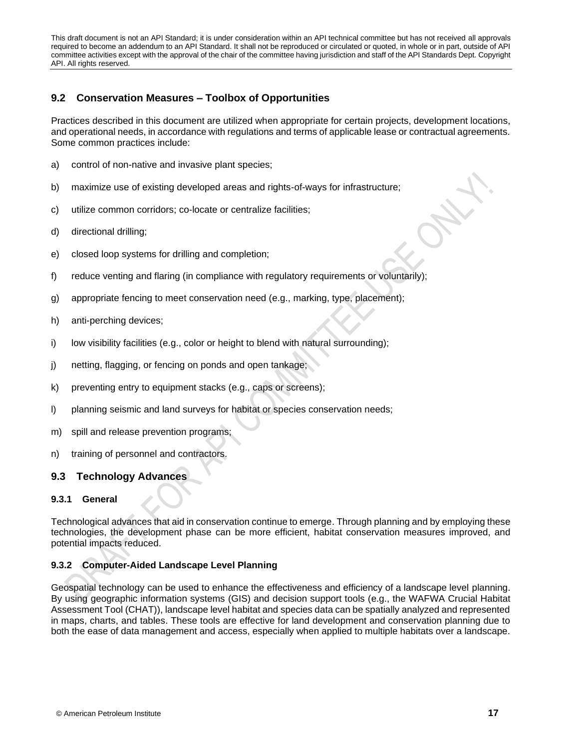# <span id="page-22-0"></span>**9.2 Conservation Measures – Toolbox of Opportunities**

Practices described in this document are utilized when appropriate for certain projects, development locations, and operational needs, in accordance with regulations and terms of applicable lease or contractual agreements. Some common practices include:

- a) control of non-native and invasive plant species;
- b) maximize use of existing developed areas and rights-of-ways for infrastructure;
- c) utilize common corridors; co-locate or centralize facilities;
- d) directional drilling;
- e) closed loop systems for drilling and completion;
- f) reduce venting and flaring (in compliance with regulatory requirements or voluntarily);
- g) appropriate fencing to meet conservation need (e.g., marking, type, placement);
- h) anti-perching devices;
- i) low visibility facilities (e.g., color or height to blend with natural surrounding);
- j) netting, flagging, or fencing on ponds and open tankage;
- k) preventing entry to equipment stacks (e.g., caps or screens);
- l) planning seismic and land surveys for habitat or species conservation needs;
- m) spill and release prevention programs;
- n) training of personnel and contractors.

# <span id="page-22-1"></span>**9.3 Technology Advances**

# **9.3.1 General**

Technological advances that aid in conservation continue to emerge. Through planning and by employing these technologies, the development phase can be more efficient, habitat conservation measures improved, and potential impacts reduced.

# **9.3.2 Computer-Aided Landscape Level Planning**

Geospatial technology can be used to enhance the effectiveness and efficiency of a landscape level planning. By using geographic information systems (GIS) and decision support tools (e.g., the WAFWA Crucial Habitat Assessment Tool (CHAT)), landscape level habitat and species data can be spatially analyzed and represented in maps, charts, and tables. These tools are effective for land development and conservation planning due to both the ease of data management and access, especially when applied to multiple habitats over a landscape.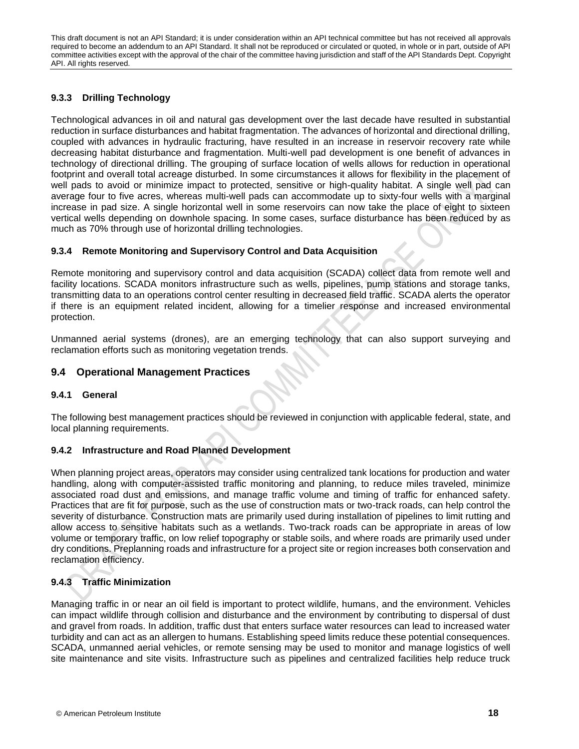# **9.3.3 Drilling Technology**

Technological advances in oil and natural gas development over the last decade have resulted in substantial reduction in surface disturbances and habitat fragmentation. The advances of horizontal and directional drilling, coupled with advances in hydraulic fracturing, have resulted in an increase in reservoir recovery rate while decreasing habitat disturbance and fragmentation. Multi-well pad development is one benefit of advances in technology of directional drilling. The grouping of surface location of wells allows for reduction in operational footprint and overall total acreage disturbed. In some circumstances it allows for flexibility in the placement of well pads to avoid or minimize impact to protected, sensitive or high-quality habitat. A single well pad can average four to five acres, whereas multi-well pads can accommodate up to sixty-four wells with a marginal increase in pad size. A single horizontal well in some reservoirs can now take the place of eight to sixteen vertical wells depending on downhole spacing. In some cases, surface disturbance has been reduced by as much as 70% through use of horizontal drilling technologies.

### **9.3.4 Remote Monitoring and Supervisory Control and Data Acquisition**

Remote monitoring and supervisory control and data acquisition (SCADA) collect data from remote well and facility locations. SCADA monitors infrastructure such as wells, pipelines, pump stations and storage tanks, transmitting data to an operations control center resulting in decreased field traffic. SCADA alerts the operator if there is an equipment related incident, allowing for a timelier response and increased environmental protection.

Unmanned aerial systems (drones), are an emerging technology that can also support surveying and reclamation efforts such as monitoring vegetation trends.

# <span id="page-23-0"></span>**9.4 Operational Management Practices**

### **9.4.1 General**

The following best management practices should be reviewed in conjunction with applicable federal, state, and local planning requirements.

# **9.4.2 Infrastructure and Road Planned Development**

When planning project areas, operators may consider using centralized tank locations for production and water handling, along with computer-assisted traffic monitoring and planning, to reduce miles traveled, minimize associated road dust and emissions, and manage traffic volume and timing of traffic for enhanced safety. Practices that are fit for purpose, such as the use of construction mats or two-track roads, can help control the severity of disturbance. Construction mats are primarily used during installation of pipelines to limit rutting and allow access to sensitive habitats such as a wetlands. Two-track roads can be appropriate in areas of low volume or temporary traffic, on low relief topography or stable soils, and where roads are primarily used under dry conditions. Preplanning roads and infrastructure for a project site or region increases both conservation and reclamation efficiency.

# **9.4.3 Traffic Minimization**

Managing traffic in or near an oil field is important to protect wildlife, humans, and the environment. Vehicles can impact wildlife through collision and disturbance and the environment by contributing to dispersal of dust and gravel from roads. In addition, traffic dust that enters surface water resources can lead to increased water turbidity and can act as an allergen to humans. Establishing speed limits reduce these potential consequences. SCADA, unmanned aerial vehicles, or remote sensing may be used to monitor and manage logistics of well site maintenance and site visits. Infrastructure such as pipelines and centralized facilities help reduce truck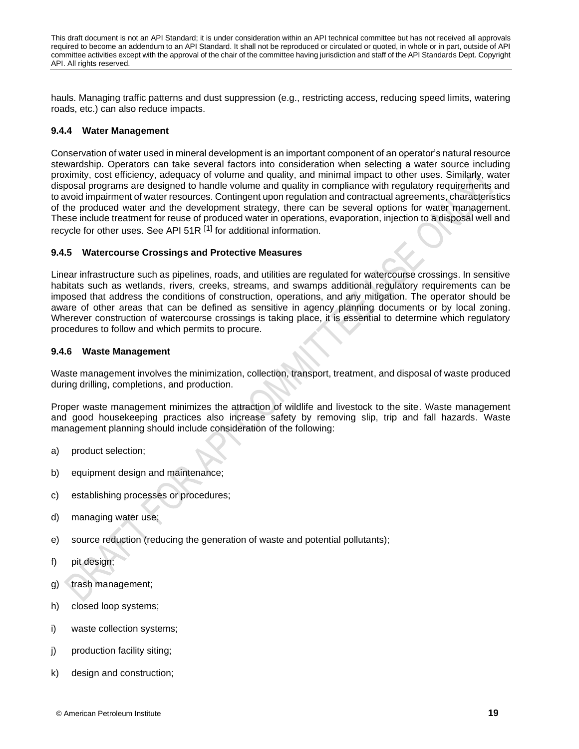hauls. Managing traffic patterns and dust suppression (e.g., restricting access, reducing speed limits, watering roads, etc.) can also reduce impacts.

### **9.4.4 Water Management**

Conservation of water used in mineral development is an important component of an operator's natural resource stewardship. Operators can take several factors into consideration when selecting a water source including proximity, cost efficiency, adequacy of volume and quality, and minimal impact to other uses. Similarly, water disposal programs are designed to handle volume and quality in compliance with regulatory requirements and to avoid impairment of water resources. Contingent upon regulation and contractual agreements, characteristics of the produced water and the development strategy, there can be several options for water management. These include treatment for reuse of produced water in operations, evaporation, injection to a disposal well and recycle for other uses. See API 51R <sup>[\[1\]](#page-40-1)</sup> for additional information.

### **9.4.5 Watercourse Crossings and Protective Measures**

Linear infrastructure such as pipelines, roads, and utilities are regulated for watercourse crossings. In sensitive habitats such as wetlands, rivers, creeks, streams, and swamps additional regulatory requirements can be imposed that address the conditions of construction, operations, and any mitigation. The operator should be aware of other areas that can be defined as sensitive in agency planning documents or by local zoning. Wherever construction of watercourse crossings is taking place, it is essential to determine which regulatory procedures to follow and which permits to procure.

### **9.4.6 Waste Management**

Waste management involves the minimization, collection, transport, treatment, and disposal of waste produced during drilling, completions, and production.

Proper waste management minimizes the attraction of wildlife and livestock to the site. Waste management and good housekeeping practices also increase safety by removing slip, trip and fall hazards. Waste management planning should include consideration of the following:

- a) product selection;
- b) equipment design and maintenance;
- c) establishing processes or procedures;
- d) managing water use;
- e) source reduction (reducing the generation of waste and potential pollutants);
- f) pit design;
- g) trash management;
- h) closed loop systems;
- i) waste collection systems;
- j) production facility siting;
- k) design and construction;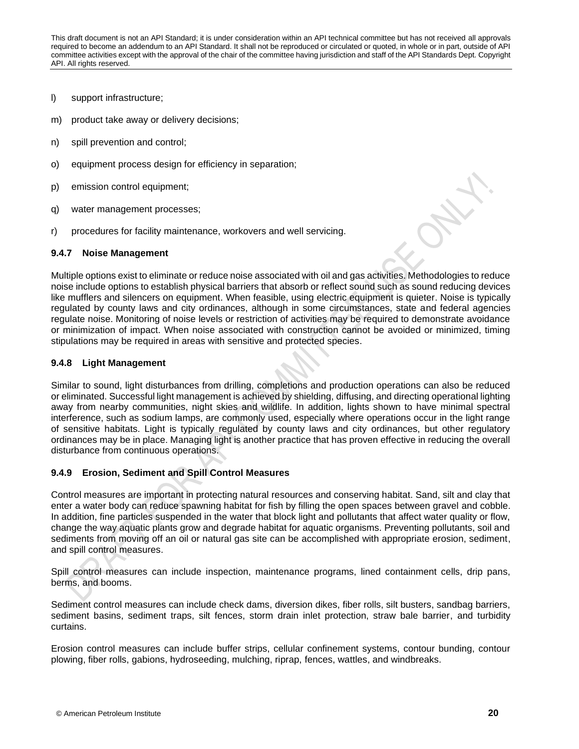- l) support infrastructure;
- m) product take away or delivery decisions;
- n) spill prevention and control;
- o) equipment process design for efficiency in separation;
- p) emission control equipment;
- q) water management processes;
- r) procedures for facility maintenance, workovers and well servicing.

### **9.4.7 Noise Management**

Multiple options exist to eliminate or reduce noise associated with oil and gas activities. Methodologies to reduce noise include options to establish physical barriers that absorb or reflect sound such as sound reducing devices like mufflers and silencers on equipment. When feasible, using electric equipment is quieter. Noise is typically regulated by county laws and city ordinances, although in some circumstances, state and federal agencies regulate noise. Monitoring of noise levels or restriction of activities may be required to demonstrate avoidance or minimization of impact. When noise associated with construction cannot be avoided or minimized, timing stipulations may be required in areas with sensitive and protected species.

### **9.4.8 Light Management**

Similar to sound, light disturbances from drilling, completions and production operations can also be reduced or eliminated. Successful light management is achieved by shielding, diffusing, and directing operational lighting away from nearby communities, night skies and wildlife. In addition, lights shown to have minimal spectral interference, such as sodium lamps, are commonly used, especially where operations occur in the light range of sensitive habitats. Light is typically regulated by county laws and city ordinances, but other regulatory ordinances may be in place. Managing light is another practice that has proven effective in reducing the overall disturbance from continuous operations.

### **9.4.9 Erosion, Sediment and Spill Control Measures**

Control measures are important in protecting natural resources and conserving habitat. Sand, silt and clay that enter a water body can reduce spawning habitat for fish by filling the open spaces between gravel and cobble. In addition, fine particles suspended in the water that block light and pollutants that affect water quality or flow, change the way aquatic plants grow and degrade habitat for aquatic organisms. Preventing pollutants, soil and sediments from moving off an oil or natural gas site can be accomplished with appropriate erosion, sediment, and spill control measures.

Spill control measures can include inspection, maintenance programs, lined containment cells, drip pans, berms, and booms.

Sediment control measures can include check dams, diversion dikes, fiber rolls, silt busters, sandbag barriers, sediment basins, sediment traps, silt fences, storm drain inlet protection, straw bale barrier, and turbidity curtains.

Erosion control measures can include buffer strips, cellular confinement systems, contour bunding, contour plowing, fiber rolls, gabions, hydroseeding, mulching, riprap, fences, wattles, and windbreaks.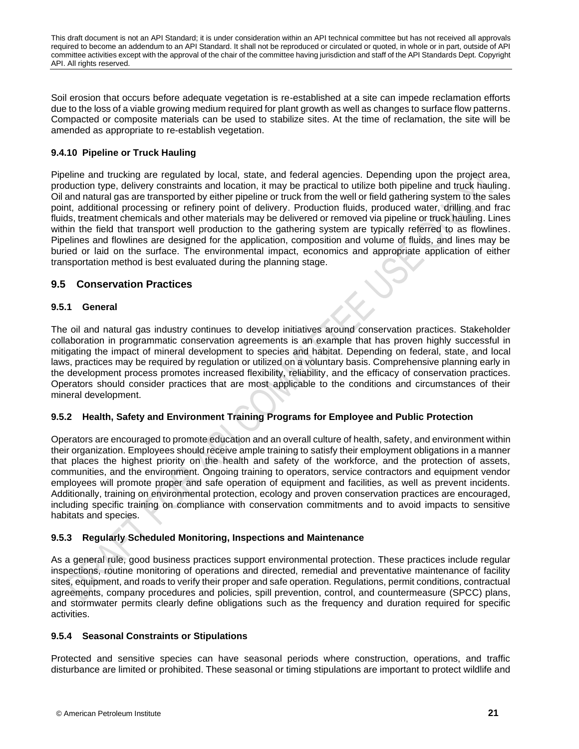Soil erosion that occurs before adequate vegetation is re-established at a site can impede reclamation efforts due to the loss of a viable growing medium required for plant growth as well as changes to surface flow patterns. Compacted or composite materials can be used to stabilize sites. At the time of reclamation, the site will be amended as appropriate to re-establish vegetation.

# **9.4.10 Pipeline or Truck Hauling**

Pipeline and trucking are regulated by local, state, and federal agencies. Depending upon the project area, production type, delivery constraints and location, it may be practical to utilize both pipeline and truck hauling. Oil and natural gas are transported by either pipeline or truck from the well or field gathering system to the sales point, additional processing or refinery point of delivery. Production fluids, produced water, drilling and frac fluids, treatment chemicals and other materials may be delivered or removed via pipeline or truck hauling. Lines within the field that transport well production to the gathering system are typically referred to as flowlines. Pipelines and flowlines are designed for the application, composition and volume of fluids, and lines may be buried or laid on the surface. The environmental impact, economics and appropriate application of either transportation method is best evaluated during the planning stage.

# <span id="page-26-0"></span>**9.5 Conservation Practices**

### **9.5.1 General**

The oil and natural gas industry continues to develop initiatives around conservation practices. Stakeholder collaboration in programmatic conservation agreements is an example that has proven highly successful in mitigating the impact of mineral development to species and habitat. Depending on federal, state, and local laws, practices may be required by regulation or utilized on a voluntary basis. Comprehensive planning early in the development process promotes increased flexibility, reliability, and the efficacy of conservation practices. Operators should consider practices that are most applicable to the conditions and circumstances of their mineral development.

# **9.5.2 Health, Safety and Environment Training Programs for Employee and Public Protection**

Operators are encouraged to promote education and an overall culture of health, safety, and environment within their organization. Employees should receive ample training to satisfy their employment obligations in a manner that places the highest priority on the health and safety of the workforce, and the protection of assets, communities, and the environment. Ongoing training to operators, service contractors and equipment vendor employees will promote proper and safe operation of equipment and facilities, as well as prevent incidents. Additionally, training on environmental protection, ecology and proven conservation practices are encouraged, including specific training on compliance with conservation commitments and to avoid impacts to sensitive habitats and species.

# **9.5.3 Regularly Scheduled Monitoring, Inspections and Maintenance**

As a general rule, good business practices support environmental protection. These practices include regular inspections, routine monitoring of operations and directed, remedial and preventative maintenance of facility sites, equipment, and roads to verify their proper and safe operation. Regulations, permit conditions, contractual agreements, company procedures and policies, spill prevention, control, and countermeasure (SPCC) plans, and stormwater permits clearly define obligations such as the frequency and duration required for specific activities.

# **9.5.4 Seasonal Constraints or Stipulations**

Protected and sensitive species can have seasonal periods where construction, operations, and traffic disturbance are limited or prohibited. These seasonal or timing stipulations are important to protect wildlife and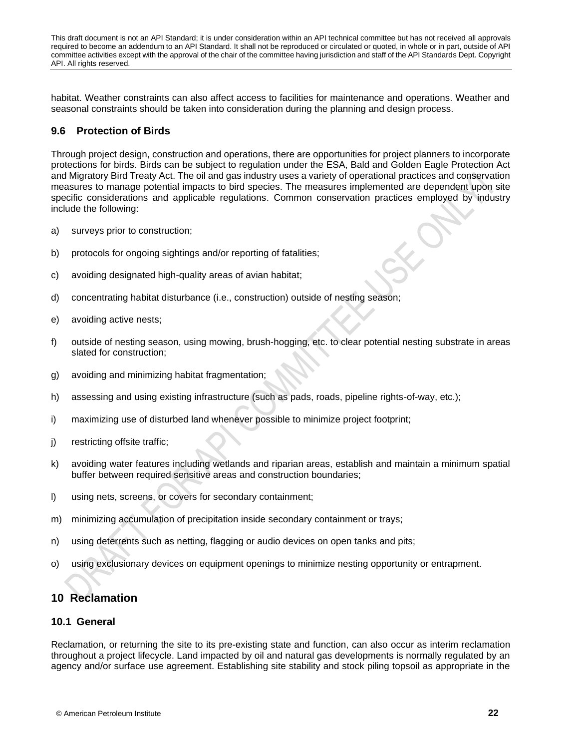habitat. Weather constraints can also affect access to facilities for maintenance and operations. Weather and seasonal constraints should be taken into consideration during the planning and design process.

# <span id="page-27-0"></span>**9.6 Protection of Birds**

Through project design, construction and operations, there are opportunities for project planners to incorporate protections for birds. Birds can be subject to regulation under the ESA, Bald and Golden Eagle Protection Act and Migratory Bird Treaty Act. The oil and gas industry uses a variety of operational practices and conservation measures to manage potential impacts to bird species. The measures implemented are dependent upon site specific considerations and applicable regulations. Common conservation practices employed by industry include the following:

- a) surveys prior to construction;
- b) protocols for ongoing sightings and/or reporting of fatalities;
- c) avoiding designated high-quality areas of avian habitat;
- d) concentrating habitat disturbance (i.e., construction) outside of nesting season;
- e) avoiding active nests;
- f) outside of nesting season, using mowing, brush-hogging, etc. to clear potential nesting substrate in areas slated for construction;
- g) avoiding and minimizing habitat fragmentation;
- h) assessing and using existing infrastructure (such as pads, roads, pipeline rights-of-way, etc.);
- i) maximizing use of disturbed land whenever possible to minimize project footprint;
- j) restricting offsite traffic;
- k) avoiding water features including wetlands and riparian areas, establish and maintain a minimum spatial buffer between required sensitive areas and construction boundaries;
- l) using nets, screens, or covers for secondary containment;
- m) minimizing accumulation of precipitation inside secondary containment or trays;
- n) using deterrents such as netting, flagging or audio devices on open tanks and pits;
- o) using exclusionary devices on equipment openings to minimize nesting opportunity or entrapment.

# <span id="page-27-1"></span>**10 Reclamation**

### <span id="page-27-2"></span>**10.1 General**

Reclamation, or returning the site to its pre-existing state and function, can also occur as interim reclamation throughout a project lifecycle. Land impacted by oil and natural gas developments is normally regulated by an agency and/or surface use agreement. Establishing site stability and stock piling topsoil as appropriate in the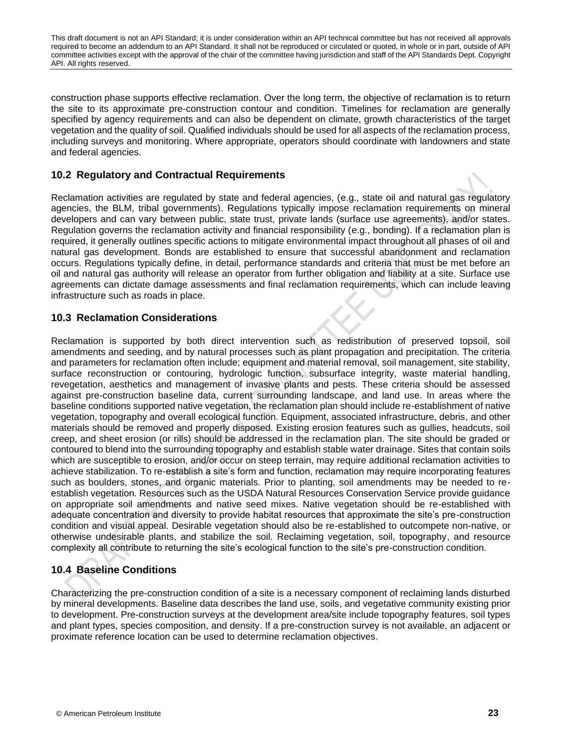construction phase supports effective reclamation. Over the long term, the objective of reclamation is to return the site to its approximate pre-construction contour and condition. Timelines for reclamation are generally specified by agency requirements and can also be dependent on climate, growth characteristics of the target vegetation and the quality of soil. Qualified individuals should be used for all aspects of the reclamation process, including surveys and monitoring. Where appropriate, operators should coordinate with landowners and state and federal agencies.

# <span id="page-28-0"></span>**10.2 Regulatory and Contractual Requirements**

Reclamation activities are regulated by state and federal agencies, (e.g., state oil and natural gas regulatory agencies, the BLM, tribal governments). Regulations typically impose reclamation requirements on mineral developers and can vary between public, state trust, private lands (surface use agreements), and/or states. Regulation governs the reclamation activity and financial responsibility (e.g., bonding). If a reclamation plan is required, it generally outlines specific actions to mitigate environmental impact throughout all phases of oil and natural gas development. Bonds are established to ensure that successful abandonment and reclamation occurs. Regulations typically define, in detail, performance standards and criteria that must be met before an oil and natural gas authority will release an operator from further obligation and liability at a site. Surface use agreements can dictate damage assessments and final reclamation requirements, which can include leaving infrastructure such as roads in place.

# <span id="page-28-1"></span>**10.3 Reclamation Considerations**

Reclamation is supported by both direct intervention such as redistribution of preserved topsoil, soil amendments and seeding, and by natural processes such as plant propagation and precipitation. The criteria and parameters for reclamation often include; equipment and material removal, soil management, site stability, surface reconstruction or contouring, hydrologic function, subsurface integrity, waste material handling, revegetation, aesthetics and management of invasive plants and pests. These criteria should be assessed against pre-construction baseline data, current surrounding landscape, and land use. In areas where the baseline conditions supported native vegetation, the reclamation plan should include re-establishment of native vegetation, topography and overall ecological function. Equipment, associated infrastructure, debris, and other materials should be removed and properly disposed. Existing erosion features such as gullies, headcuts, soil creep, and sheet erosion (or rills) should be addressed in the reclamation plan. The site should be graded or contoured to blend into the surrounding topography and establish stable water drainage. Sites that contain soils which are susceptible to erosion, and/or occur on steep terrain, may require additional reclamation activities to achieve stabilization. To re-establish a site's form and function, reclamation may require incorporating features such as boulders, stones, and organic materials. Prior to planting, soil amendments may be needed to reestablish vegetation. Resources such as the USDA Natural Resources Conservation Service provide guidance on appropriate soil amendments and native seed mixes. Native vegetation should be re-established with adequate concentration and diversity to provide habitat resources that approximate the site's pre-construction condition and visual appeal. Desirable vegetation should also be re-established to outcompete non-native, or otherwise undesirable plants, and stabilize the soil. Reclaiming vegetation, soil, topography, and resource complexity all contribute to returning the site's ecological function to the site's pre-construction condition.

# <span id="page-28-2"></span>**10.4 Baseline Conditions**

Characterizing the pre-construction condition of a site is a necessary component of reclaiming lands disturbed by mineral developments. Baseline data describes the land use, soils, and vegetative community existing prior to development. Pre-construction surveys at the development area/site include topography features, soil types and plant types, species composition, and density. If a pre-construction survey is not available, an adjacent or proximate reference location can be used to determine reclamation objectives.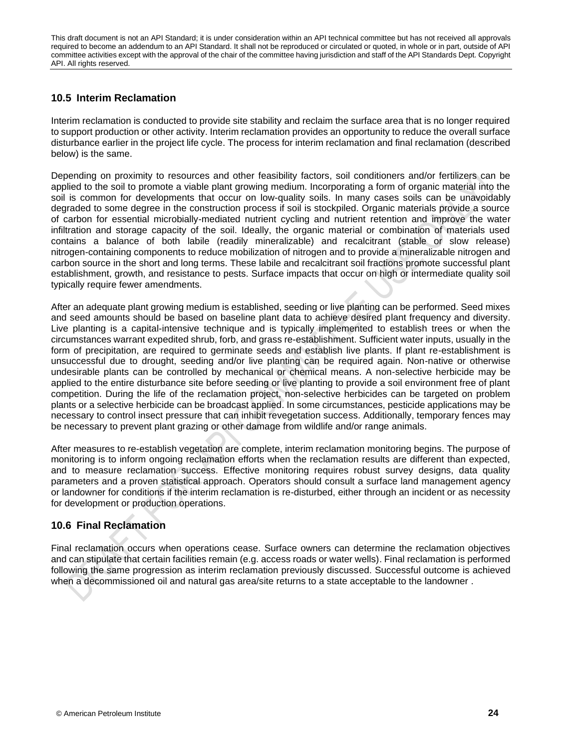# <span id="page-29-0"></span>**10.5 Interim Reclamation**

Interim reclamation is conducted to provide site stability and reclaim the surface area that is no longer required to support production or other activity. Interim reclamation provides an opportunity to reduce the overall surface disturbance earlier in the project life cycle. The process for interim reclamation and final reclamation (described below) is the same.

Depending on proximity to resources and other feasibility factors, soil conditioners and/or fertilizers can be applied to the soil to promote a viable plant growing medium. Incorporating a form of organic material into the soil is common for developments that occur on low-quality soils. In many cases soils can be unavoidably degraded to some degree in the construction process if soil is stockpiled. Organic materials provide a source of carbon for essential microbially-mediated nutrient cycling and nutrient retention and improve the water infiltration and storage capacity of the soil. Ideally, the organic material or combination of materials used contains a balance of both labile (readily mineralizable) and recalcitrant (stable or slow release) nitrogen-containing components to reduce mobilization of nitrogen and to provide a mineralizable nitrogen and carbon source in the short and long terms. These labile and recalcitrant soil fractions promote successful plant establishment, growth, and resistance to pests. Surface impacts that occur on high or intermediate quality soil typically require fewer amendments.

After an adequate plant growing medium is established, seeding or live planting can be performed. Seed mixes and seed amounts should be based on baseline plant data to achieve desired plant frequency and diversity. Live planting is a capital-intensive technique and is typically implemented to establish trees or when the circumstances warrant expedited shrub, forb, and grass re-establishment. Sufficient water inputs, usually in the form of precipitation, are required to germinate seeds and establish live plants. If plant re-establishment is unsuccessful due to drought, seeding and/or live planting can be required again. Non-native or otherwise undesirable plants can be controlled by mechanical or chemical means. A non-selective herbicide may be applied to the entire disturbance site before seeding or live planting to provide a soil environment free of plant competition. During the life of the reclamation project, non-selective herbicides can be targeted on problem plants or a selective herbicide can be broadcast applied. In some circumstances, pesticide applications may be necessary to control insect pressure that can inhibit revegetation success. Additionally, temporary fences may be necessary to prevent plant grazing or other damage from wildlife and/or range animals.

After measures to re-establish vegetation are complete, interim reclamation monitoring begins. The purpose of monitoring is to inform ongoing reclamation efforts when the reclamation results are different than expected, and to measure reclamation success. Effective monitoring requires robust survey designs, data quality parameters and a proven statistical approach. Operators should consult a surface land management agency or landowner for conditions if the interim reclamation is re-disturbed, either through an incident or as necessity for development or production operations.

# <span id="page-29-1"></span>**10.6 Final Reclamation**

Final reclamation occurs when operations cease. Surface owners can determine the reclamation objectives and can stipulate that certain facilities remain (e.g. access roads or water wells). Final reclamation is performed following the same progression as interim reclamation previously discussed. Successful outcome is achieved when a decommissioned oil and natural gas area/site returns to a state acceptable to the landowner .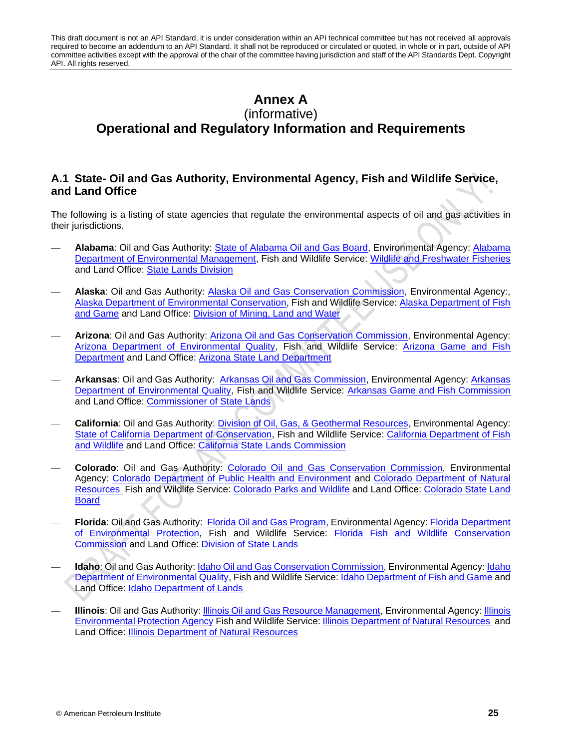# <span id="page-30-0"></span>**Annex A** (informative) **Operational and Regulatory Information and Requirements**

# **A.1 State- Oil and Gas Authority, Environmental Agency, Fish and Wildlife Service, and Land Office**

The following is a listing of state agencies that regulate the environmental aspects of oil and gas activities in their jurisdictions.

- **Alabama**: Oil and Gas Authority: [State of Alabama Oil and Gas Board,](https://www.gsa.state.al.us/ogb/) Environmental Agency: [Alabama](http://www.adem.state.al.us/default.cnt)  [Department of Environmental Management,](http://www.adem.state.al.us/default.cnt) Fish and Wildlife Service: [Wildlife and Freshwater Fisheries](http://www.outdooralabama.com/wildlife-and-freshwater-fisheries-division) and Land Office: [State Lands Division](http://www.outdooralabama.com/state-lands)
- **Alaska**: Oil and Gas Authority: [Alaska Oil and Gas Conservation Commission,](http://doa.alaska.gov/ogc/whoweare/welcome.html) Environmental Agency:, [Alaska Department of Environmental Conservation,](http://dec.alaska.gov/) Fish and Wildlife Service: [Alaska Department of Fish](http://www.adfg.alaska.gov/)  [and Game](http://www.adfg.alaska.gov/) and Land Office: [Division of Mining, Land and Water](http://dnr.alaska.gov/mlw/)
- **Arizona**: Oil and Gas Authority: [Arizona Oil and Gas Conservation Commission,](http://www.azogcc.az.gov/) Environmental Agency: [Arizona Department of Environmental Quality,](http://www.azdeq.gov/) Fish and Wildlife Service: [Arizona Game and Fish](https://www.azgfd.com/)  [Department](https://www.azgfd.com/) and Land Office: [Arizona State Land Department](https://land.az.gov/)
- Arkansas: Oil and Gas Authority: [Arkansas Oil and Gas Commission,](http://www.aogc.state.ar.us/Pages/Default.aspx) Environmental Agency: Arkansas [Department of Environmental Quality,](https://www.adeq.state.ar.us/) Fish and Wildlife Service: [Arkansas Game and Fish Commission](https://www.agfc.com/en/) and Land Office: [Commissioner of State Lands](http://www.cosl.org/)
- **California**: Oil and Gas Authority: [Division of Oil, Gas, & Geothermal Resources,](http://www.conservation.ca.gov/dog) Environmental Agency: [State of California Department of Conservation,](http://www.conservation.ca.gov/) Fish and Wildlife Service: [California Department of Fish](https://www.wildlife.ca.gov/)  [and Wildlife](https://www.wildlife.ca.gov/) and Land Office: [California State Lands Commission](http://www.slc.ca.gov/)
- **Colorado**: Oil and Gas Authority: [Colorado Oil and Gas Conservation Commission,](http://cogcc.state.co.us/#/home) Environmental Agency: [Colorado Department of Public Health and Environment](https://www.colorado.gov/cdphe) and [Colorado Department of Natural](https://cdnr.us/#/start)  [Resources](https://cdnr.us/#/start) Fish and Wildlife Service: [Colorado Parks and Wildlife](http://cpw.state.co.us/) and Land Office: [Colorado State Land](https://www.colorado.gov/statelandboard)  **[Board](https://www.colorado.gov/statelandboard)**
- **Florida**: Oil and Gas Authority: [Florida Oil and Gas Program,](https://floridadep.gov/water/oil-gas) Environmental Agency: [Florida Department](https://floridadep.gov/)  [of Environmental Protection,](https://floridadep.gov/) Fish and Wildlife Service: [Florida Fish and Wildlife Conservation](http://myfwc.com/)  [Commission](http://myfwc.com/) and Land Office: [Division of State Lands](https://floridadep.gov/lands)
- **Idaho**: Oil and Gas Authority: [Idaho Oil and Gas Conservation Commission,](https://ogcc.idaho.gov/) Environmental Agency: Idaho Department of Environmental Quality, Fish and Wildlife Service[: Idaho Department of Fish and Game](https://idfg.idaho.gov/) and Land Office: Idaho [Department of Lands](https://www.idl.idaho.gov/)
- **Illinois**: Oil and Gas Authority[: Illinois Oil and Gas Resource Management,](https://www.dnr.illinois.gov/oilandgas/Pages/default.aspx) Environmental Agency: [Illinois](http://www.epa.illinois.gov/about-us/index)  [Environmental Protection Agency](http://www.epa.illinois.gov/about-us/index) Fish and Wildlife Service: [Illinois Department of Natural Resources](https://www.dnr.illinois.gov/Pages/default.aspx) and Land Office: [Illinois Department of Natural Resources](https://www.dnr.illinois.gov/Pages/LandManagement.aspx)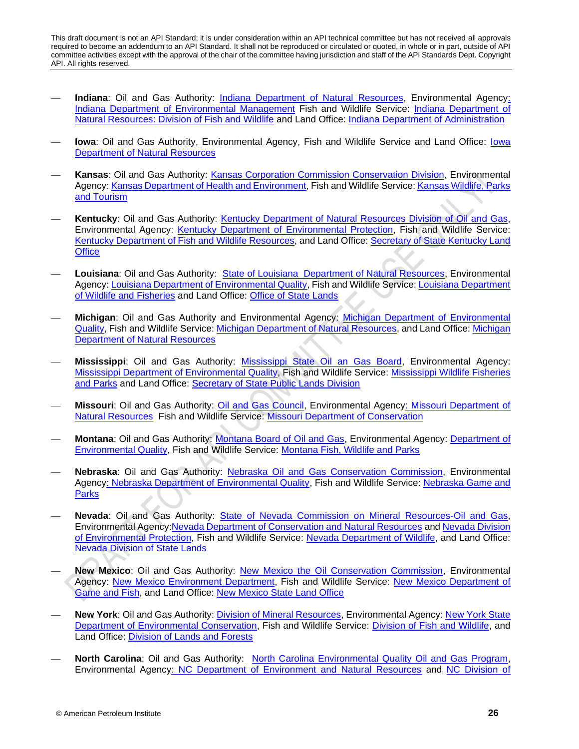- **Indiana**: Oil and Gas Authority: [Indiana Department of Natural Resources,](http://www.in.gov/dnr/dnroil/5521.htm) Environmental Agenc[y:](http://www.in.gov/idem/) [Indiana Department of Environmental Management](http://www.in.gov/idem/) Fish and Wildlife Service: [Indiana Department of](http://www.in.gov/dnr/fishwild/)  [Natural Resources: Division of Fish and Wildlife](http://www.in.gov/dnr/fishwild/) and Land Office: [Indiana Department of Administration](https://www.in.gov/idoa/2405.htm)
- **Iowa**: Oil and Gas Authority, Environmental Agency, Fish and Wildlife Service and Land Office: [Iowa](http://www.iowadnr.gov/)  [Department of Natural Resources](http://www.iowadnr.gov/)
- **Kansas**: Oil and Gas Authority: [Kansas Corporation Commission Conservation Division,](http://www.kcc.state.ks.us/oil-gas) Environmental Agency: [Kansas Department of Health and Environment,](http://www.kdheks.gov/) Fish and Wildlife Service[: Kansas Wildlife, Parks](https://www.kshuntfishcamp.com/home.page)  [and Tourism](https://www.kshuntfishcamp.com/home.page)
- **Kentucky**: Oil and Gas Authority: [Kentucky Department of Natural Resources Division of Oil and Gas,](http://oilandgas.ky.gov/Pages/Welcome.aspx) Environmental Agency: [Kentucky Department of Environmental Protection,](http://dep.ky.gov/Pages/default.aspx) Fish and Wildlife Service: [Kentucky Department of Fish and Wildlife Resources,](https://fw.ky.gov/Pages/default.aspx) and Land Office: [Secretary of State Kentucky Land](https://www.sos.ky.gov/admin/land/Pages/default.aspx)  **[Office](https://www.sos.ky.gov/admin/land/Pages/default.aspx)**
- **Louisiana**: Oil and Gas Authority: [State of Louisiana Department of Natural Resources,](http://www.dnr.louisiana.gov/index.cfm/page/301) Environmental Agency[: Louisiana Department of Environmental Quality,](http://deq.louisiana.gov/) Fish and Wildlife Service[: Louisiana Department](http://www.wlf.louisiana.gov/)  [of Wildlife and Fisheries](http://www.wlf.louisiana.gov/) and Land Office: [Office of State Lands](http://www.doa.la.gov/Pages/osl/Index.aspx)
- **Michigan**: Oil and Gas Authority and Environmental Agency: [Michigan Department of Environmental](http://www.michigan.gov/deq)  [Quality,](http://www.michigan.gov/deq) Fish and Wildlife Service: [Michigan Department of Natural Resources,](http://www.michigan.gov/dnr/) and Land Office: [Michigan](http://www.michigan.gov/dnr/0,4570,7-153-31154---,00.html)  [Department of Natural Resources](http://www.michigan.gov/dnr/0,4570,7-153-31154---,00.html)
- **Mississippi**: Oil and Gas Authority: [Mississippi State Oil an Gas Board,](http://www.ogb.state.ms.us/Default.htm) Environmental Agency: [Mississippi Department of Environmental Quality,](http://www.deq.state.ms.us/MDEQ.nsf/page/Main_Home?OpenDocument) Fish and Wildlife Service: [Mississippi Wildlife Fisheries](https://www.mdwfp.com/)  [and Parks](https://www.mdwfp.com/) and Land Office: [Secretary of State Public Lands Division](http://www.sos.ms.gov/Public-Lands/Pages/default.aspx)
- Missouri: Oil and Gas Authority: [Oil and Gas Council,](https://dnr.mo.gov/geology/geosrv/ogc/) Environmental Agency: Missouri Department of [Natural Resources](https://dnr.mo.gov/) Fish and Wildlife Service: [Missouri Department of Conservation](https://mdc.mo.gov/)
- **Montana**: Oil and Gas Authority: [Montana Board of Oil and Gas,](http://bogc.dnrc.mt.gov/) Environmental Agency: [Department of](http://deq.mt.gov/)  [Environmental Quality,](http://deq.mt.gov/) Fish and Wildlife Service: [Montana Fish, Wildlife and Parks](http://fwp.mt.gov/)
- **Nebraska**: Oil and Gas Authority: [Nebraska Oil and Gas Conservation Commission,](http://www.nogcc.ne.gov/NOGCCLinks.aspx) Environmental Agenc[y: Nebraska Department of Environmental Quality,](http://www.deq.state.ne.us/) Fish and Wildlife Service: Nebraska Game and [Parks](http://outdoornebraska.gov/)
- **Nevada**: Oil and Gas Authority: [State of Nevada Commission on Mineral Resources-Oil and Gas,](http://minerals.nv.gov/Programs/OG/OG/) Environmental Agency[:Nevada Department of Conservation and Natural Resources](http://dcnr.nv.gov/) and [Nevada Division](https://ndep.nv.gov/)  [of Environmental Protection,](https://ndep.nv.gov/) Fish and Wildlife Service: [Nevada Department of Wildlife,](http://www.ndow.org/) and Land Office: [Nevada Division of State Lands](http://lands.nv.gov/)
- **New Mexico**: Oil and Gas Authority: [New Mexico the Oil Conservation Commission,](http://www.emnrd.state.nm.us/ocd/) Environmental Agency: [New Mexico Environment Department,](https://www.env.nm.gov/) Fish and Wildlife Service: [New Mexico Department of](http://www.wildlife.state.nm.us/)  [Game and Fish,](http://www.wildlife.state.nm.us/) and Land Office: [New Mexico State Land Office](http://www.nmstatelands.org/)
- **New York**: Oil and Gas Authority: [Division of Mineral Resources,](http://www.dec.ny.gov/about/636.html) Environmental Agency: [New York State](http://www.dec.ny.gov/)  [Department of Environmental Conservation,](http://www.dec.ny.gov/) Fish and Wildlife Service: [Division of Fish and Wildlife,](http://www.dec.ny.gov/about/634.html) and Land Office: [Division of Lands and Forests](http://www.dec.ny.gov/about/650.html)
- **North Carolina**: Oil and Gas Authority: [North Carolina Environmental Quality Oil and Gas Program,](https://deq.nc.gov/about/divisions/energy-mineral-land-resources/energy-group/oil-gas-program) Environmental Agenc[y: NC Department of Environment and Natural Resources](https://deq.nc.gov/) and [NC Division of](http://www.p2pays.org/)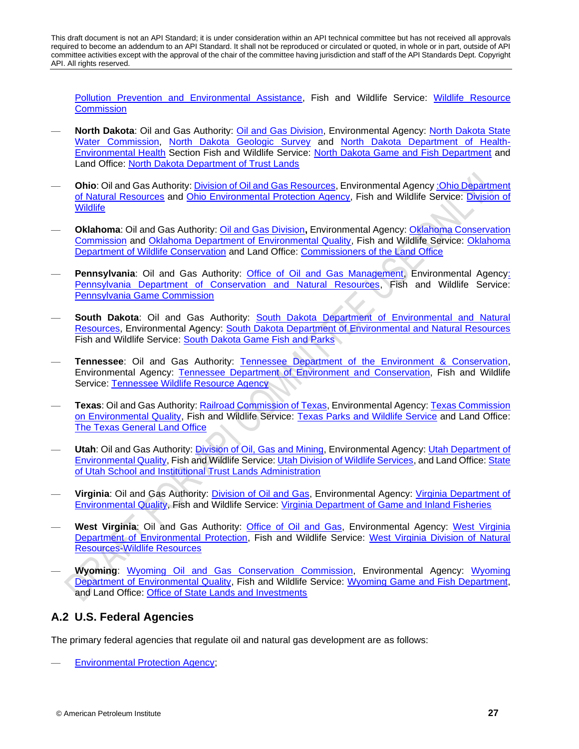[Pollution Prevention and Environmental Assistance,](http://www.p2pays.org/) Fish and Wildlife Service: [Wildlife Resource](http://www.ncwildlife.org/)  **[Commission](http://www.ncwildlife.org/)** 

- **North Dakota**: Oil and Gas Authority: [Oil and Gas Division,](https://www.dmr.nd.gov/oilgas/) Environmental Agency: [North Dakota State](http://www.swc.state.nd.us/)  [Water Commission,](http://www.swc.state.nd.us/) [North Dakota Geologic Survey](https://www.dmr.nd.gov/ndgs/) and [North Dakota Department of Health-](https://deq.nd.gov/)[Environmental Health](https://deq.nd.gov/) Section Fish and Wildlife Service: [North Dakota Game and Fish Department](https://gf.nd.gov/) and Land Office: [North Dakota Department of Trust Lands](https://land.nd.gov/)
- **Ohio**: Oil and Gas Authority[: Division of Oil and](http://oilandgas.ohiodnr.gov/) Gas Resources, Environmental Agenc[y :Ohio Department](http://www.dnr.state.oh.us/)  [of Natural Resources](http://www.dnr.state.oh.us/) and [Ohio Environmental Protection Agency,](http://www.epa.state.oh.us/) Fish and Wildlife Service: [Division of](http://wildlife.ohiodnr.gov/)  **[Wildlife](http://wildlife.ohiodnr.gov/)**
- **Oklahoma**: Oil and Gas Authority: [Oil and Gas Division](http://www.occeweb.com/og/ogforms.html)**,** Environmental Agency: [Oklahoma Conservation](https://www.ok.gov/conservation/)  [Commission](https://www.ok.gov/conservation/) and [Oklahoma Department of Environmental Quality,](http://www.deq.state.ok.us/) Fish and Wildlife Service: [Oklahoma](https://www.wildlifedepartment.com/)  [Department of Wildlife Conservation](https://www.wildlifedepartment.com/) and Land Office: [Commissioners of the Land Office](https://clo.ok.gov/)
- Pennsylvania: Oil and Gas Authority: [Office of Oil and Gas Management,](http://www.dep.pa.gov/business/energy/oilandgasprograms/oilandgasmgmt/Pages/default.aspx) Environmental Agency: [Pennsylvania Department of Conservation and Natural Resources,](http://www.dcnr.pa.gov/Pages/default.aspx) Fish and Wildlife Service: [Pennsylvania Game Commission](http://www.pgc.pa.gov/Pages/default.aspx)
- **South Dakota**: Oil and Gas Authority: [South Dakota Department of Environmental and Natural](https://denr.sd.gov/des/og/oghome.aspx)  [Resources,](https://denr.sd.gov/des/og/oghome.aspx) Environmental Agency: [South Dakota Department of Environmental and Natural Resources](https://denr.sd.gov/des/og/oghome.aspx)  Fish and Wildlife Service: [South Dakota Game Fish and Parks](https://gfp.sd.gov/)
- **Tennessee**: Oil and Gas Authority: [Tennessee Department of the Environment & Conservation,](https://www.tn.gov/environment/about-tdec/fin-financial-responsibility/fin-financial-instruments/fin-oil-gas.html) Environmental Agency: [Tennessee Department of Environment and Conservation,](https://www.tn.gov/environment/) Fish and Wildlife Service: [Tennessee Wildlife Resource Agency](https://www.tn.gov/twra.html)
- **Texas**: Oil and Gas Authority: [Railroad Commission of Texas,](http://www.rrc.state.tx.us/oil-gas/) Environmental Agency[: Texas Commission](https://www.tceq.texas.gov/)  [on Environmental Quality,](https://www.tceq.texas.gov/) Fish and Wildlife Service: [Texas Parks and Wildlife Service](https://tpwd.texas.gov/) and Land Office: [The Texas General Land Office](http://www.glo.texas.gov/)
- **Utah**: Oil and Gas Authority[: Division of Oil, Gas and Mining,](https://www.ogm.utah.gov/index.php) Environmental Agency: [Utah Department of](https://deq.utah.gov/)  [Environmental Quality,](https://deq.utah.gov/) Fish and Wildlife Service: [Utah Division of Wildlife Services,](https://wildlife.utah.gov/) and Land Office[: State](https://trustlands.utah.gov/)  [of Utah School and Institutional Trust Lands Administration](https://trustlands.utah.gov/)
- **Virginia**: Oil and Gas Authority: [Division of Oil and Gas,](https://www.dmme.virginia.gov/dgo/dgolandingpage.shtml) Environmental Agency: [Virginia Department of](http://www.deq.virginia.gov/)  [Environmental Quality,](http://www.deq.virginia.gov/) Fish and Wildlife Service: [Virginia Department of Game and Inland Fisheries](https://www.dgif.virginia.gov/)
- **West Virginia**: Oil and Gas Authority: [Office of Oil and Gas,](https://dep.wv.gov/oil-and-gas/Pages/default.aspx) Environmental Agency: [West Virginia](http://dep.wv.gov/Pages/default.aspx)  [Department of Environmental Protection,](http://dep.wv.gov/Pages/default.aspx) Fish and Wildlife Service: [West Virginia Division of Natural](https://www.wvdnr.gov/fishing/fishing.shtm)  [Resources-Wildlife Resources](https://www.wvdnr.gov/fishing/fishing.shtm)
- **Wyoming**: [Wyoming Oil and Gas Conservation Commission,](http://wogcc.wyo.gov/) Environmental Agency: [Wyoming](http://deq.wyoming.gov/)  [Department of Environmental Quality,](http://deq.wyoming.gov/) Fish and Wildlife Service: [Wyoming Game and Fish Department,](https://wgfd.wyo.gov/) and Land Office: [Office of State Lands and Investments](http://lands.wyo.gov/)

# **A.2 U.S. Federal Agencies**

The primary federal agencies that regulate oil and natural gas development are as follows:

— [Environmental Protection Agency;](https://www.epa.gov/)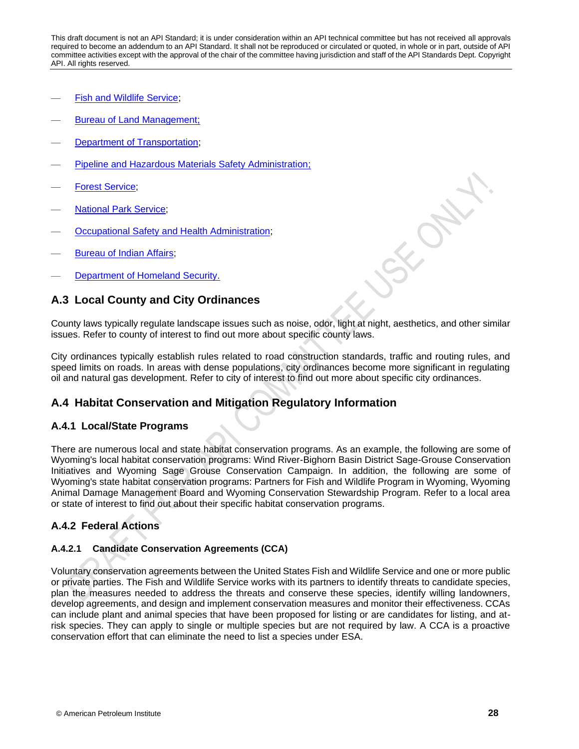- [Fish and Wildlife Service;](https://www.fws.gov/)
- [Bureau of Land Management;](https://www.blm.gov/)
- [Department of Transportation;](https://www.transportation.gov/)
- [Pipeline and Hazardous Materials Safety Administration;](https://www.phmsa.dot.gov/)
- [Forest Service;](https://www.fs.fed.us/)
- [National Park Service;](https://www.nps.gov/index.htm)
- [Occupational Safety and Health Administration;](https://www.osha.gov/)
- [Bureau of Indian Affairs;](https://www.bia.gov/bia)
- [Department of Homeland Security.](https://www.dhs.gov/)

# **A.3 Local County and City Ordinances**

County laws typically regulate landscape issues such as noise, odor, light at night, aesthetics, and other similar issues. Refer to county of interest to find out more about specific county laws.

City ordinances typically establish rules related to road construction standards, traffic and routing rules, and speed limits on roads. In areas with dense populations, city ordinances become more significant in regulating oil and natural gas development. Refer to city of interest to find out more about specific city ordinances.

# **A.4 Habitat Conservation and Mitigation Regulatory Information**

### **A.4.1 Local/State Programs**

There are numerous local and state habitat conservation programs. As an example, the following are some of Wyoming's local habitat conservation programs: Wind River-Bighorn Basin District Sage-Grouse Conservation Initiatives and Wyoming Sage Grouse Conservation Campaign. In addition, the following are some of Wyoming's state habitat conservation programs: Partners for Fish and Wildlife Program in Wyoming, Wyoming Animal Damage Management Board and Wyoming Conservation Stewardship Program. Refer to a local area or state of interest to find out about their specific habitat conservation programs.

### **A.4.2 Federal Actions**

### **A.4.2.1 Candidate Conservation Agreements (CCA)**

Voluntary conservation agreements between the United States Fish and Wildlife Service and one or more public or private parties. The Fish and Wildlife Service works with its partners to identify threats to candidate species, plan the measures needed to address the threats and conserve these species, identify willing landowners, develop agreements, and design and implement conservation measures and monitor their effectiveness. CCAs can include plant and animal species that have been proposed for listing or are candidates for listing, and atrisk species. They can apply to single or multiple species but are not required by law. A CCA is a proactive conservation effort that can eliminate the need to list a species under ESA.

**FORM**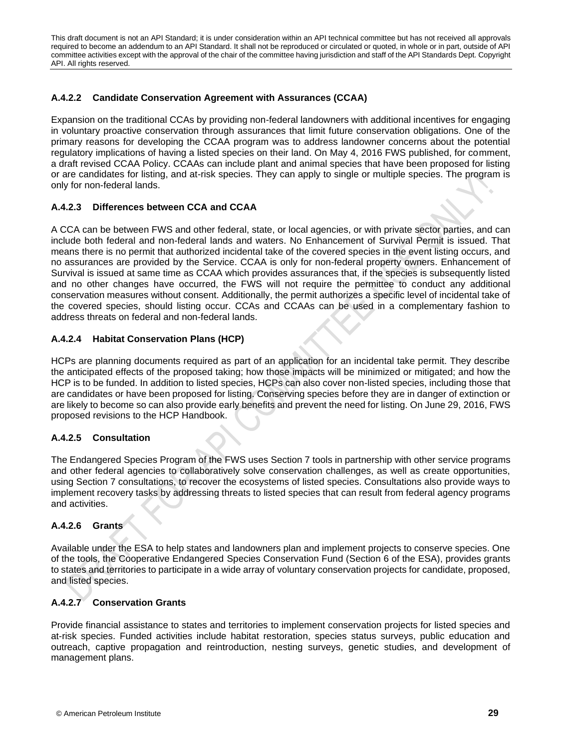### **A.4.2.2 Candidate Conservation Agreement with Assurances (CCAA)**

Expansion on the traditional CCAs by providing non-federal landowners with additional incentives for engaging in voluntary proactive conservation through assurances that limit future conservation obligations. One of the primary reasons for developing the CCAA program was to address landowner concerns about the potential regulatory implications of having a listed species on their land. On May 4, 2016 FWS published, for comment, a draft revised CCAA Policy. CCAAs can include plant and animal species that have been proposed for listing or are candidates for listing, and at-risk species. They can apply to single or multiple species. The program is only for non-federal lands.

### **A.4.2.3 Differences between CCA and CCAA**

A CCA can be between FWS and other federal, state, or local agencies, or with private sector parties, and can include both federal and non-federal lands and waters. No Enhancement of Survival Permit is issued. That means there is no permit that authorized incidental take of the covered species in the event listing occurs, and no assurances are provided by the Service. CCAA is only for non-federal property owners. Enhancement of Survival is issued at same time as CCAA which provides assurances that, if the species is subsequently listed and no other changes have occurred, the FWS will not require the permittee to conduct any additional conservation measures without consent. Additionally, the permit authorizes a specific level of incidental take of the covered species, should listing occur. CCAs and CCAAs can be used in a complementary fashion to address threats on federal and non-federal lands.

### **A.4.2.4 Habitat Conservation Plans (HCP)**

HCPs are planning documents required as part of an application for an incidental take permit. They describe the anticipated effects of the proposed taking; how those impacts will be minimized or mitigated; and how the HCP is to be funded. In addition to listed species, HCPs can also cover non-listed species, including those that are candidates or have been proposed for listing. Conserving species before they are in danger of extinction or are likely to become so can also provide early benefits and prevent the need for listing. On June 29, 2016, FWS proposed revisions to the HCP Handbook.

### **A.4.2.5 Consultation**

The Endangered Species Program of the FWS uses Section 7 tools in partnership with other service programs and other federal agencies to collaboratively solve conservation challenges, as well as create opportunities, using Section 7 consultations, to recover the ecosystems of listed species. Consultations also provide ways to implement recovery tasks by addressing threats to listed species that can result from federal agency programs and activities.

### **A.4.2.6 Grants**

Available under the ESA to help states and landowners plan and implement projects to conserve species. One of the tools, the Cooperative Endangered Species Conservation Fund (Section 6 of the ESA), provides grants to states and territories to participate in a wide array of voluntary conservation projects for candidate, proposed, and listed species.

### **A.4.2.7 Conservation Grants**

Provide financial assistance to states and territories to implement conservation projects for listed species and at-risk species. Funded activities include habitat restoration, species status surveys, public education and outreach, captive propagation and reintroduction, nesting surveys, genetic studies, and development of management plans.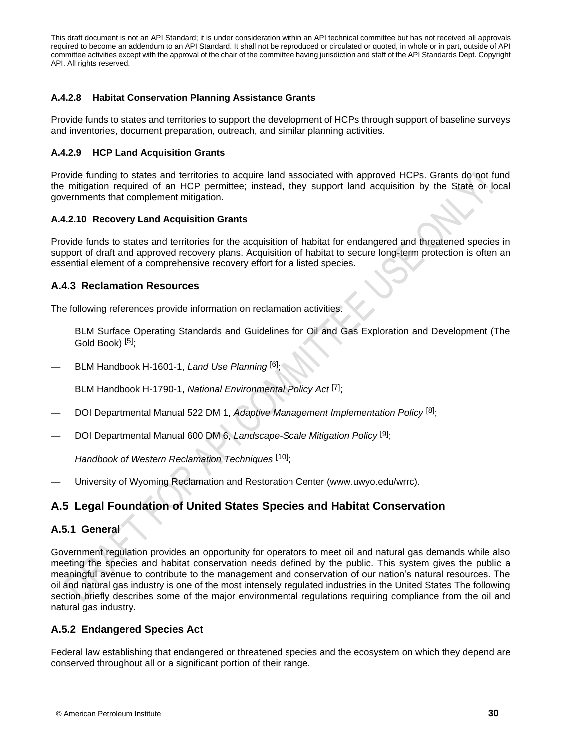### **A.4.2.8 Habitat Conservation Planning Assistance Grants**

Provide funds to states and territories to support the development of HCPs through support of baseline surveys and inventories, document preparation, outreach, and similar planning activities.

### **A.4.2.9 HCP Land Acquisition Grants**

Provide funding to states and territories to acquire land associated with approved HCPs. Grants do not fund the mitigation required of an HCP permittee; instead, they support land acquisition by the State or local governments that complement mitigation.

### **A.4.2.10 Recovery Land Acquisition Grants**

Provide funds to states and territories for the acquisition of habitat for endangered and threatened species in support of draft and approved recovery plans. Acquisition of habitat to secure long-term protection is often an essential element of a comprehensive recovery effort for a listed species.

# **A.4.3 Reclamation Resources**

The following references provide information on reclamation activities.

- BLM Surface Operating Standards and Guidelines for Oil and Gas Exploration and Development (The Gold Book) [\[5\]](#page-40-5);
- BLM Handbook H-1601-1, *Land Use Planning* [\[6\]](#page-40-6);
- BLM Handbook H-1790-1, *National Environmental Policy Act* [\[7\]](#page-40-7);
- DOI Departmental Manual 522 DM 1, *Adaptive Management Implementation Policy* [\[8\]](#page-40-8);
- DOI Departmental Manual 600 DM 6, *Landscape-Scale Mitigation Policy* [\[9\]](#page-40-9);
- *Handbook of Western Reclamation Techniques* [\[10\]](#page-40-10);
- University of Wyoming Reclamation and Restoration Center (www.uwyo.edu/wrrc).

# **A.5 Legal Foundation of United States Species and Habitat Conservation**

# **A.5.1 General**

Government regulation provides an opportunity for operators to meet oil and natural gas demands while also meeting the species and habitat conservation needs defined by the public. This system gives the public a meaningful avenue to contribute to the management and conservation of our nation's natural resources. The oil and natural gas industry is one of the most intensely regulated industries in the United States The following section briefly describes some of the major environmental regulations requiring compliance from the oil and natural gas industry.

# **A.5.2 Endangered Species Act**

Federal law establishing that endangered or threatened species and the ecosystem on which they depend are conserved throughout all or a significant portion of their range.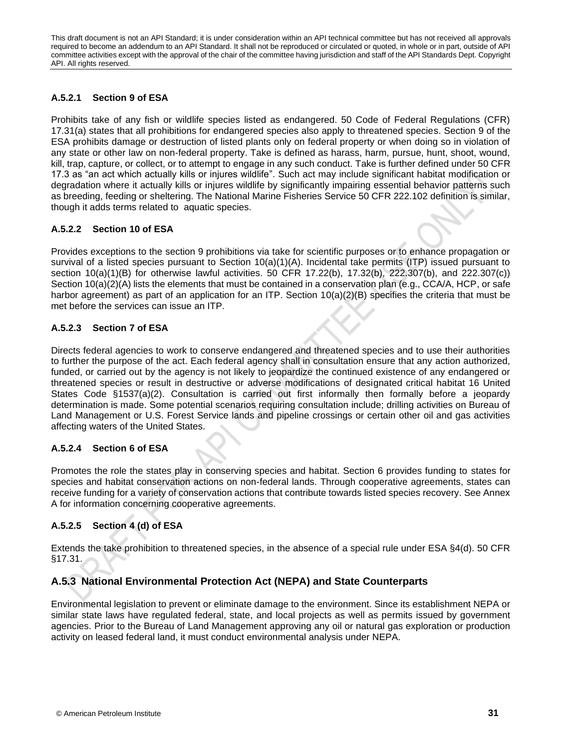### **A.5.2.1 Section 9 of ESA**

Prohibits take of any fish or wildlife species listed as endangered. 50 Code of Federal Regulations (CFR) 17.31(a) states that all prohibitions for endangered species also apply to threatened species. Section 9 of the ESA prohibits damage or destruction of listed plants only on federal property or when doing so in violation of any state or other law on non-federal property. Take is defined as harass, harm, pursue, hunt, shoot, wound, kill, trap, capture, or collect, or to attempt to engage in any such conduct. Take is further defined under 50 CFR 17.3 as "an act which actually kills or injures wildlife". Such act may include significant habitat modification or degradation where it actually kills or injures wildlife by significantly impairing essential behavior patterns such as breeding, feeding or sheltering. The National Marine Fisheries Service 50 CFR 222.102 definition is similar, though it adds terms related to aquatic species.

### **A.5.2.2 Section 10 of ESA**

Provides exceptions to the section 9 prohibitions via take for scientific purposes or to enhance propagation or survival of a listed species pursuant to Section 10(a)(1)(A). Incidental take permits (ITP) issued pursuant to section 10(a)(1)(B) for otherwise lawful activities. 50 CFR 17.22(b), 17.32(b), 222.307(b), and 222.307(c)) Section 10(a)(2)(A) lists the elements that must be contained in a conservation plan (e.g., CCA/A, HCP, or safe harbor agreement) as part of an application for an ITP. Section 10(a)(2)(B) specifies the criteria that must be met before the services can issue an ITP.

### **A.5.2.3 Section 7 of ESA**

Directs federal agencies to work to conserve endangered and threatened species and to use their authorities to further the purpose of the act. Each federal agency shall in consultation ensure that any action authorized, funded, or carried out by the agency is not likely to jeopardize the continued existence of any endangered or threatened species or result in destructive or adverse modifications of designated critical habitat 16 United States Code §1537(a)(2). Consultation is carried out first informally then formally before a jeopardy determination is made. Some potential scenarios requiring consultation include; drilling activities on Bureau of Land Management or U.S. Forest Service lands and pipeline crossings or certain other oil and gas activities affecting waters of the United States.

### **A.5.2.4 Section 6 of ESA**

Promotes the role the states play in conserving species and habitat. Section 6 provides funding to states for species and habitat conservation actions on non-federal lands. Through cooperative agreements, states can receive funding for a variety of conservation actions that contribute towards listed species recovery. See Annex A for information concerning cooperative agreements.

# **A.5.2.5 Section 4 (d) of ESA**

Extends the take prohibition to threatened species, in the absence of a special rule under ESA §4(d). 50 CFR  $§17.31.$ 

# **A.5.3 National Environmental Protection Act (NEPA) and State Counterparts**

Environmental legislation to prevent or eliminate damage to the environment. Since its establishment NEPA or similar state laws have regulated federal, state, and local projects as well as permits issued by government agencies. Prior to the Bureau of Land Management approving any oil or natural gas exploration or production activity on leased federal land, it must conduct environmental analysis under NEPA.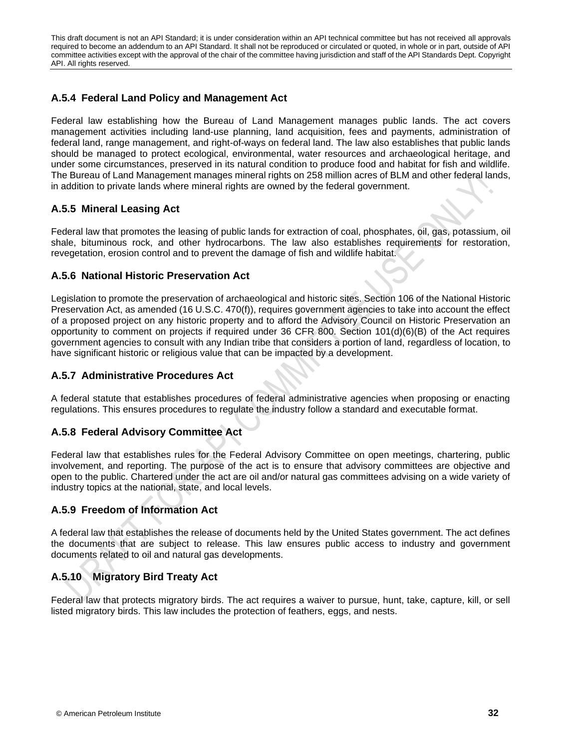# **A.5.4 Federal Land Policy and Management Act**

Federal law establishing how the Bureau of Land Management manages public lands. The act covers management activities including land-use planning, land acquisition, fees and payments, administration of federal land, range management, and right-of-ways on federal land. The law also establishes that public lands should be managed to protect ecological, environmental, water resources and archaeological heritage, and under some circumstances, preserved in its natural condition to produce food and habitat for fish and wildlife. The Bureau of Land Management manages mineral rights on 258 million acres of BLM and other federal lands, in addition to private lands where mineral rights are owned by the federal government.

# **A.5.5 Mineral Leasing Act**

Federal law that promotes the leasing of public lands for extraction of coal, phosphates, oil, gas, potassium, oil shale, bituminous rock, and other hydrocarbons. The law also establishes requirements for restoration, revegetation, erosion control and to prevent the damage of fish and wildlife habitat.

# **A.5.6 National Historic Preservation Act**

Legislation to promote the preservation of archaeological and historic sites. Section 106 of the National Historic Preservation Act, as amended (16 U.S.C. 470(f)), requires government agencies to take into account the effect of a proposed project on any historic property and to afford the Advisory Council on Historic Preservation an opportunity to comment on projects if required under 36 CFR 800. Section 101(d)(6)(B) of the Act requires government agencies to consult with any Indian tribe that considers a portion of land, regardless of location, to have significant historic or religious value that can be impacted by a development.

# **A.5.7 Administrative Procedures Act**

A federal statute that establishes procedures of federal administrative agencies when proposing or enacting regulations. This ensures procedures to regulate the industry follow a standard and executable format.

# **A.5.8 Federal Advisory Committee Act**

Federal law that establishes rules for the Federal Advisory Committee on open meetings, chartering, public involvement, and reporting. The purpose of the act is to ensure that advisory committees are objective and open to the public. Chartered under the act are oil and/or natural gas committees advising on a wide variety of industry topics at the national, state, and local levels.

# **A.5.9 Freedom of Information Act**

A federal law that establishes the release of documents held by the United States government. The act defines the documents that are subject to release. This law ensures public access to industry and government documents related to oil and natural gas developments.

# **A.5.10 Migratory Bird Treaty Act**

Federal law that protects migratory birds. The act requires a waiver to pursue, hunt, take, capture, kill, or sell listed migratory birds. This law includes the protection of feathers, eggs, and nests.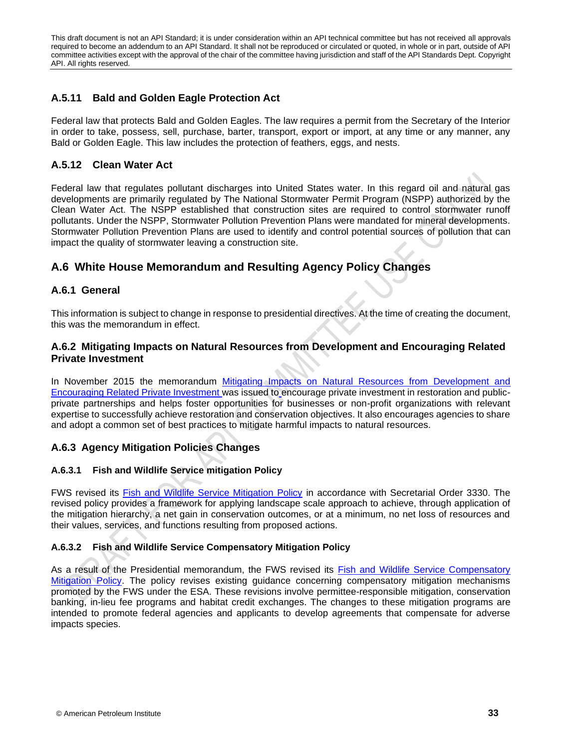# **A.5.11 Bald and Golden Eagle Protection Act**

Federal law that protects Bald and Golden Eagles. The law requires a permit from the Secretary of the Interior in order to take, possess, sell, purchase, barter, transport, export or import, at any time or any manner, any Bald or Golden Eagle. This law includes the protection of feathers, eggs, and nests.

# **A.5.12 Clean Water Act**

Federal law that regulates pollutant discharges into United States water. In this regard oil and natural gas developments are primarily regulated by The National Stormwater Permit Program (NSPP) authorized by the Clean Water Act. The NSPP established that construction sites are required to control stormwater runoff pollutants. Under the NSPP, Stormwater Pollution Prevention Plans were mandated for mineral developments. Stormwater Pollution Prevention Plans are used to identify and control potential sources of pollution that can impact the quality of stormwater leaving a construction site.

# **A.6 White House Memorandum and Resulting Agency Policy Changes**

# **A.6.1 General**

This information is subject to change in response to presidential directives. At the time of creating the document, this was the memorandum in effect.

# **A.6.2 Mitigating Impacts on Natural Resources from Development and Encouraging Related Private Investment**

In November 2015 the memorandum Mitigating Impacts on Natural Resources from Development and Encouraging Related Private Investment was issued to encourage private investment in restoration and publicprivate partnerships and helps foster opportunities for businesses or non-profit organizations with relevant expertise to successfully achieve restoration and conservation objectives. It also encourages agencies to share and adopt a common set of best practices to mitigate harmful impacts to natural resources.

# **A.6.3 Agency Mitigation Policies Changes**

# **A.6.3.1 Fish and Wildlife Service mitigation Policy**

FWS revised its Fish and Wildlife Service Mitigation Policy in accordance with Secretarial Order 3330. The revised policy provides a framework for applying landscape scale approach to achieve, through application of the mitigation hierarchy, a net gain in conservation outcomes, or at a minimum, no net loss of resources and their values, services, and functions resulting from proposed actions.

### **A.6.3.2 Fish and Wildlife Service Compensatory Mitigation Policy**

As a result of the Presidential memorandum, the FWS revised its Fish and Wildlife Service Compensatory Mitigation Policy. The policy revises existing guidance concerning compensatory mitigation mechanisms promoted by the FWS under the ESA. These revisions involve permittee-responsible mitigation, conservation banking, in-lieu fee programs and habitat credit exchanges. The changes to these mitigation programs are intended to promote federal agencies and applicants to develop agreements that compensate for adverse impacts species.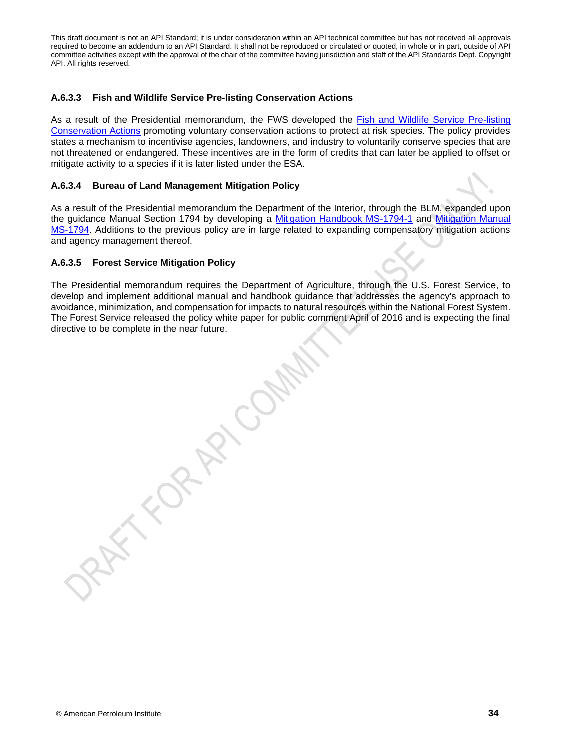### **A.6.3.3 Fish and Wildlife Service Pre-listing Conservation Actions**

As a result of the Presidential memorandum, the FWS developed the Fish and Wildlife Service Pre-listing Conservation Actions promoting voluntary conservation actions to protect at risk species. The policy provides states a mechanism to incentivise agencies, landowners, and industry to voluntarily conserve species that are not threatened or endangered. These incentives are in the form of credits that can later be applied to offset or mitigate activity to a species if it is later listed under the ESA.

### **A.6.3.4 Bureau of Land Management Mitigation Policy**

As a result of the Presidential memorandum the Department of the Interior, through the BLM, expanded upon the guidance Manual Section 1794 by developing a Mitigation Handbook MS-1794-1 and Mitigation Manual MS-1794. Additions to the previous policy are in large related to expanding compensatory mitigation actions and agency management thereof.

### **A.6.3.5 Forest Service Mitigation Policy**

The Presidential memorandum requires the Department of Agriculture, through the U.S. Forest Service, to develop and implement additional manual and handbook guidance that addresses the agency's approach to avoidance, minimization, and compensation for impacts to natural resources within the National Forest System. The Forest Service released the policy white paper for public comment April of 2016 and is expecting the final directive to be complete in the near future.

**KIDRARYOM**